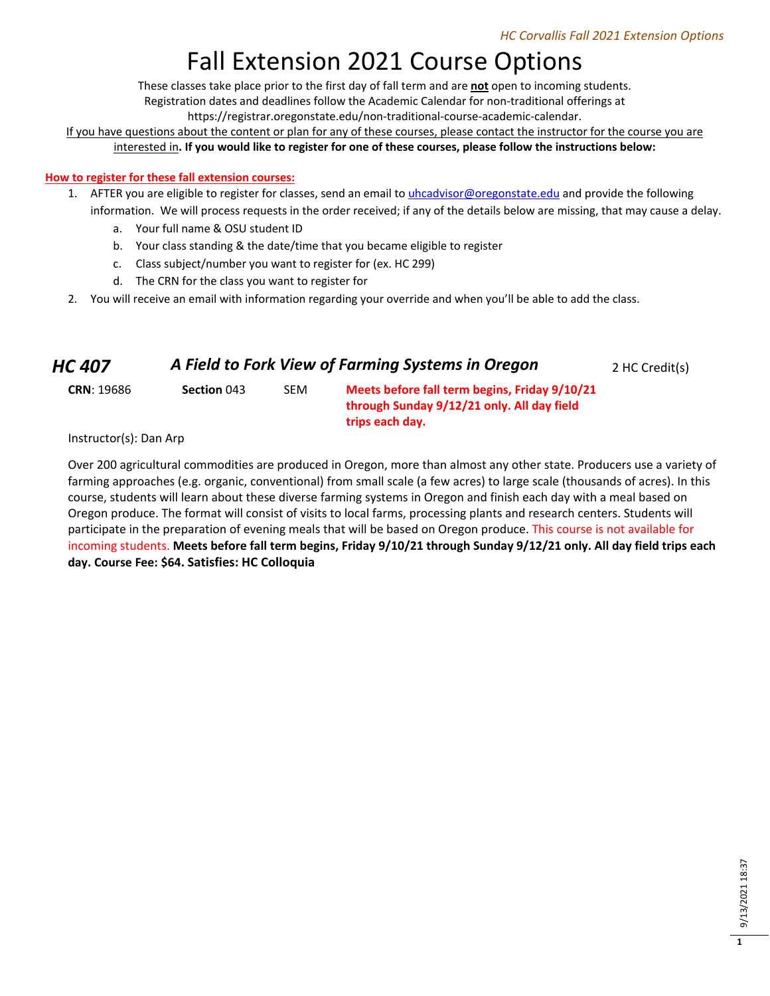# Fall Extension 2021 Course Options

These classes take place prior to the first day of fall term and are **not** open to incoming students.

Registration dates and deadlines follow the Academic Calendar for non-traditional offerings at

https://registrar.oregonstate.edu/non-traditional-course-academic-calendar.

If you have questions about the content or plan for any of these courses, please contact the instructor for the course you are interested in**. If you would like to register for one of these courses, please follow the instructions below:**

### **How to register for these fall extension courses:**

- 1. AFTER you are eligible to register for classes, send an email to *uhcadvisor@oregonstate.edu* and provide the following information. We will process requests in the order received; if any of the details below are missing, that may cause a delay.
	- a. Your full name & OSU student ID
	- b. Your class standing & the date/time that you became eligible to register
	- c. Class subject/number you want to register for (ex. HC 299)
	- d. The CRN for the class you want to register for
- 2. You will receive an email with information regarding your override and when you'll be able to add the class.

| <b>HC 407</b>     | A Field to Fork View of Farming Systems in Oregon |     |                                                                                                                |  |
|-------------------|---------------------------------------------------|-----|----------------------------------------------------------------------------------------------------------------|--|
| <b>CRN: 19686</b> | Section 043                                       | SEM | Meets before fall term begins, Friday 9/10/21<br>through Sunday 9/12/21 only. All day field<br>trips each day. |  |

Instructor(s): Dan Arp

Over 200 agricultural commodities are produced in Oregon, more than almost any other state. Producers use a variety of farming approaches (e.g. organic, conventional) from small scale (a few acres) to large scale (thousands of acres). In this course, students will learn about these diverse farming systems in Oregon and finish each day with a meal based on Oregon produce. The format will consist of visits to local farms, processing plants and research centers. Students will participate in the preparation of evening meals that will be based on Oregon produce. This course is not available for incoming students. **Meets before fall term begins, Friday 9/10/21 through Sunday 9/12/21 only. All day field trips each day. Course Fee: \$64. Satisfies: HC Colloquia**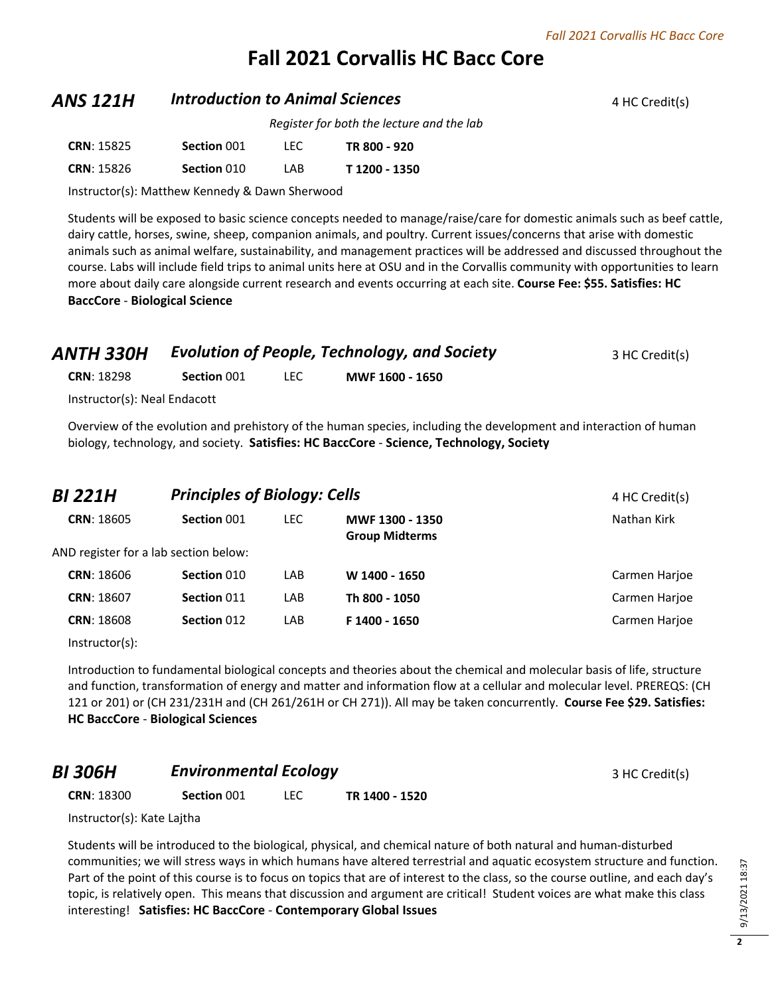# **Fall 2021 Corvallis HC Bacc Core**

### **ANS 121H Introduction to Animal Sciences 4 HC Credit(s) 4 HC Credit(s)**

*Register for both the lecture and the lab*

| <b>CRN: 15825</b> | Section 001 | TEC. | TR 800 - 920  |
|-------------------|-------------|------|---------------|
| <b>CRN: 15826</b> | Section 010 | I AB | T 1200 - 1350 |

Instructor(s): Matthew Kennedy & Dawn Sherwood

Students will be exposed to basic science concepts needed to manage/raise/care for domestic animals such as beef cattle, dairy cattle, horses, swine, sheep, companion animals, and poultry. Current issues/concerns that arise with domestic animals such as animal welfare, sustainability, and management practices will be addressed and discussed throughout the course. Labs will include field trips to animal units here at OSU and in the Corvallis community with opportunities to learn more about daily care alongside current research and events occurring at each site. **Course Fee: \$55. Satisfies: HC BaccCore** - **Biological Science**

| ANTH 330H                    |             | <b>Evolution of People, Technology, and Society</b> | 3 HC Credit(s)  |  |
|------------------------------|-------------|-----------------------------------------------------|-----------------|--|
| <b>CRN: 18298</b>            | Section 001 | LEC.                                                | MWF 1600 - 1650 |  |
| Instructor(s): Neal Endacott |             |                                                     |                 |  |

Overview of the evolution and prehistory of the human species, including the development and interaction of human biology, technology, and society. **Satisfies: HC BaccCore** - **Science, Technology, Society**

| <b>BI 221H</b>    | <b>Principles of Biology: Cells</b>   | 4 HC Credit(s) |                                          |               |
|-------------------|---------------------------------------|----------------|------------------------------------------|---------------|
| <b>CRN: 18605</b> | Section 001                           | LEC.           | MWF 1300 - 1350<br><b>Group Midterms</b> | Nathan Kirk   |
|                   | AND register for a lab section below: |                |                                          |               |
| <b>CRN: 18606</b> | Section 010                           | LAB            | W 1400 - 1650                            | Carmen Harjoe |
| <b>CRN: 18607</b> | Section 011                           | LAB            | Th 800 - 1050                            | Carmen Harjoe |
| <b>CRN: 18608</b> | Section 012                           | LAB            | F 1400 - 1650                            | Carmen Harjoe |
|                   |                                       |                |                                          |               |

Instructor(s):

Introduction to fundamental biological concepts and theories about the chemical and molecular basis of life, structure and function, transformation of energy and matter and information flow at a cellular and molecular level. PREREQS: (CH 121 or 201) or (CH 231/231H and (CH 261/261H or CH 271)). All may be taken concurrently. **Course Fee \$29. Satisfies: HC BaccCore** - **Biological Sciences**

### *BI 306H* **Environmental Ecology Example 2 A** *BI* **3 HC Credit(s)**

**CRN**: 18300 **Section** 001 LEC **TR 1400 - 1520**

Instructor(s): Kate Lajtha

Students will be introduced to the biological, physical, and chemical nature of both natural and human-disturbed communities; we will stress ways in which humans have altered terrestrial and aquatic ecosystem structure and function. Part of the point of this course is to focus on topics that are of interest to the class, so the course outline, and each day's topic, is relatively open. This means that discussion and argument are critical! Student voices are what make this class interesting! **Satisfies: HC BaccCore** - **Contemporary Global Issues**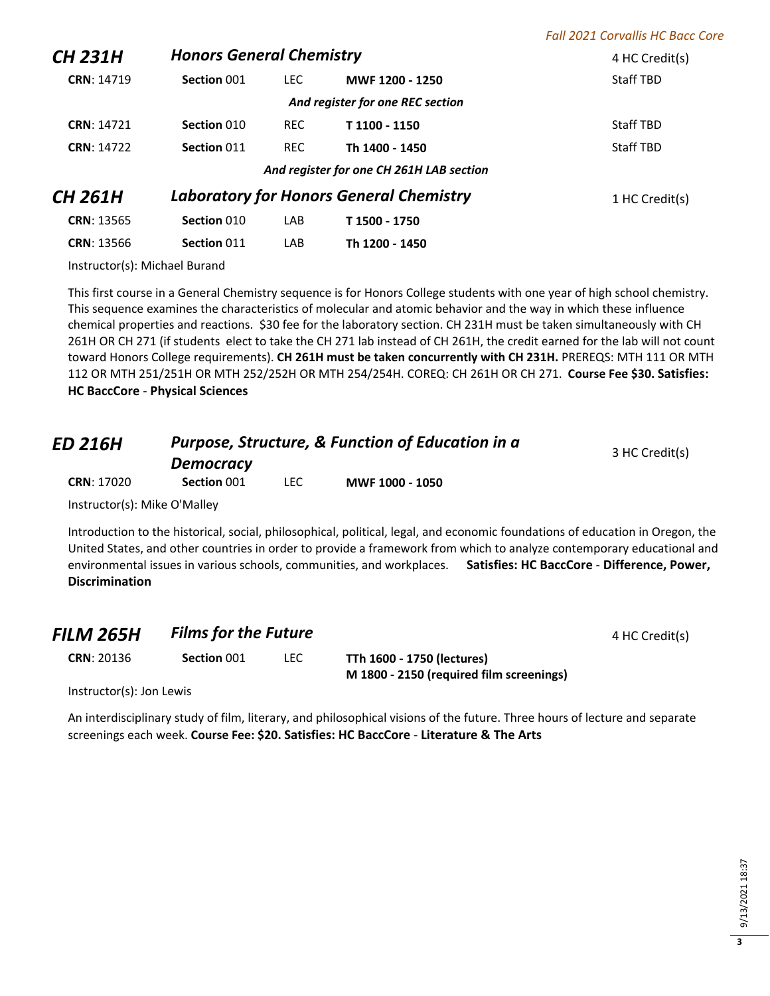|                   |                                 |            |                                                | <b>Fall 2021 Corvallis HC Bacc Core</b> |
|-------------------|---------------------------------|------------|------------------------------------------------|-----------------------------------------|
| <b>CH 231H</b>    | <b>Honors General Chemistry</b> |            |                                                | 4 HC Credit(s)                          |
| CRN: 14719        | Section 001                     | LEC.       | MWF 1200 - 1250                                | <b>Staff TBD</b>                        |
|                   |                                 |            | And register for one REC section               |                                         |
| <b>CRN: 14721</b> | Section 010                     | <b>REC</b> | T 1100 - 1150                                  | <b>Staff TBD</b>                        |
| <b>CRN: 14722</b> | Section 011                     | <b>REC</b> | Th 1400 - 1450                                 | <b>Staff TBD</b>                        |
|                   |                                 |            | And register for one CH 261H LAB section       |                                         |
| <b>CH 261H</b>    |                                 |            | <b>Laboratory for Honors General Chemistry</b> | 1 HC Credit(s)                          |
| <b>CRN: 13565</b> | Section 010                     | LAB        | T 1500 - 1750                                  |                                         |
| <b>CRN: 13566</b> | Section 011                     | LAB        | Th 1200 - 1450                                 |                                         |
|                   |                                 |            |                                                |                                         |

Instructor(s): Michael Burand

This first course in a General Chemistry sequence is for Honors College students with one year of high school chemistry. This sequence examines the characteristics of molecular and atomic behavior and the way in which these influence chemical properties and reactions. \$30 fee for the laboratory section. CH 231H must be taken simultaneously with CH 261H OR CH 271 (if students elect to take the CH 271 lab instead of CH 261H, the credit earned for the lab will not count toward Honors College requirements). **CH 261H must be taken concurrently with CH 231H.** PREREQS: MTH 111 OR MTH 112 OR MTH 251/251H OR MTH 252/252H OR MTH 254/254H. COREQ: CH 261H OR CH 271. **Course Fee \$30. Satisfies: HC BaccCore** - **Physical Sciences**

| <b>ED 216H</b><br><b>CRN: 17020</b>         | Purpose, Structure, & Function of Education in a<br><b>Democracy</b> | 3 HC Credit(s) |                 |  |
|---------------------------------------------|----------------------------------------------------------------------|----------------|-----------------|--|
|                                             | Section 001                                                          | LEC.           | MWF 1000 - 1050 |  |
| $Instructor(c)$ , Mike $O^{\dagger}$ Mallou |                                                                      |                |                 |  |

Instructor(s): Mike O'Malley

Introduction to the historical, social, philosophical, political, legal, and economic foundations of education in Oregon, the United States, and other countries in order to provide a framework from which to analyze contemporary educational and environmental issues in various schools, communities, and workplaces. **Satisfies: HC BaccCore** - **Difference, Power, Discrimination**

**CRN**: 20136 **Section** 001 LEC **TTh 1600 - 1750 (lectures)**

**M 1800 - 2150 (required film screenings)**

Instructor(s): Jon Lewis

An interdisciplinary study of film, literary, and philosophical visions of the future. Three hours of lecture and separate screenings each week. **Course Fee: \$20. Satisfies: HC BaccCore** - **Literature & The Arts**

**3**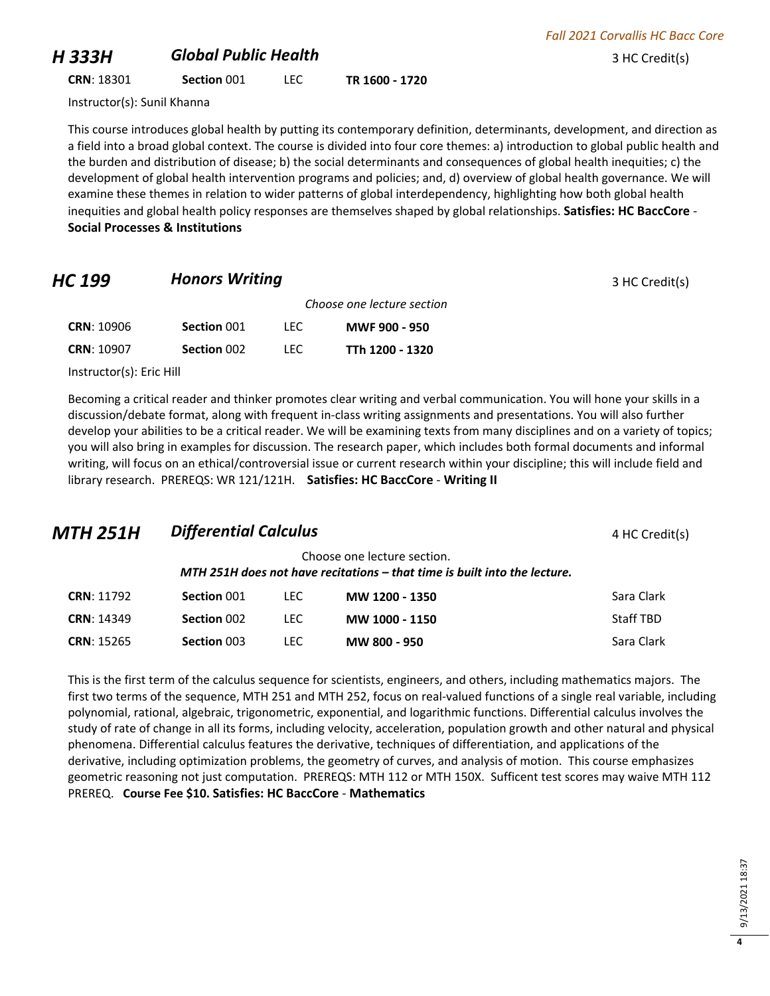### *H 333H Global Public Health* <sup>3</sup> HC Credit(s)

**CRN**: 18301 **Section** 001 LEC **TR 1600 - 1720**

Instructor(s): Sunil Khanna

This course introduces global health by putting its contemporary definition, determinants, development, and direction as a field into a broad global context. The course is divided into four core themes: a) introduction to global public health and the burden and distribution of disease; b) the social determinants and consequences of global health inequities; c) the development of global health intervention programs and policies; and, d) overview of global health governance. We will examine these themes in relation to wider patterns of global interdependency, highlighting how both global health inequities and global health policy responses are themselves shaped by global relationships. **Satisfies: HC BaccCore** - **Social Processes & Institutions**

### **HC 199 Honors Writing** *HC* **199 3 HC Credit(s)**

*Choose one lecture section* **CRN**: 10906 **Section** 001 LEC **MWF 900 - 950 CRN**: 10907 **Section** 002 LEC **TTh 1200 - 1320**

Instructor(s): Eric Hill

Becoming a critical reader and thinker promotes clear writing and verbal communication. You will hone your skills in a discussion/debate format, along with frequent in-class writing assignments and presentations. You will also further develop your abilities to be a critical reader. We will be examining texts from many disciplines and on a variety of topics; you will also bring in examples for discussion. The research paper, which includes both formal documents and informal writing, will focus on an ethical/controversial issue or current research within your discipline; this will include field and library research. PREREQS: WR 121/121H. **Satisfies: HC BaccCore** - **Writing II**

## *MTH 251H Differential Calculus* <sup>4</sup> HC Credit(s)

Choose one lecture section. *MTH 251H does not have recitations – that time is built into the lecture.*

| <b>CRN: 11792</b> | Section 001        | I FC. | MW 1200 - 1350 | Sara Clark |
|-------------------|--------------------|-------|----------------|------------|
| <b>CRN: 14349</b> | Section 002        | LEC   | MW 1000 - 1150 | Staff TBD  |
| <b>CRN: 15265</b> | <b>Section 003</b> | LEC   | MW 800 - 950   | Sara Clark |

This is the first term of the calculus sequence for scientists, engineers, and others, including mathematics majors. The first two terms of the sequence, MTH 251 and MTH 252, focus on real-valued functions of a single real variable, including polynomial, rational, algebraic, trigonometric, exponential, and logarithmic functions. Differential calculus involves the study of rate of change in all its forms, including velocity, acceleration, population growth and other natural and physical phenomena. Differential calculus features the derivative, techniques of differentiation, and applications of the derivative, including optimization problems, the geometry of curves, and analysis of motion. This course emphasizes geometric reasoning not just computation. PREREQS: MTH 112 or MTH 150X. Sufficent test scores may waive MTH 112 PREREQ. **Course Fee \$10. Satisfies: HC BaccCore** - **Mathematics**

| c<br>∞<br>᠆ |
|-------------|
| ᠵ<br>ົ<br>¢ |
| t<br>٢      |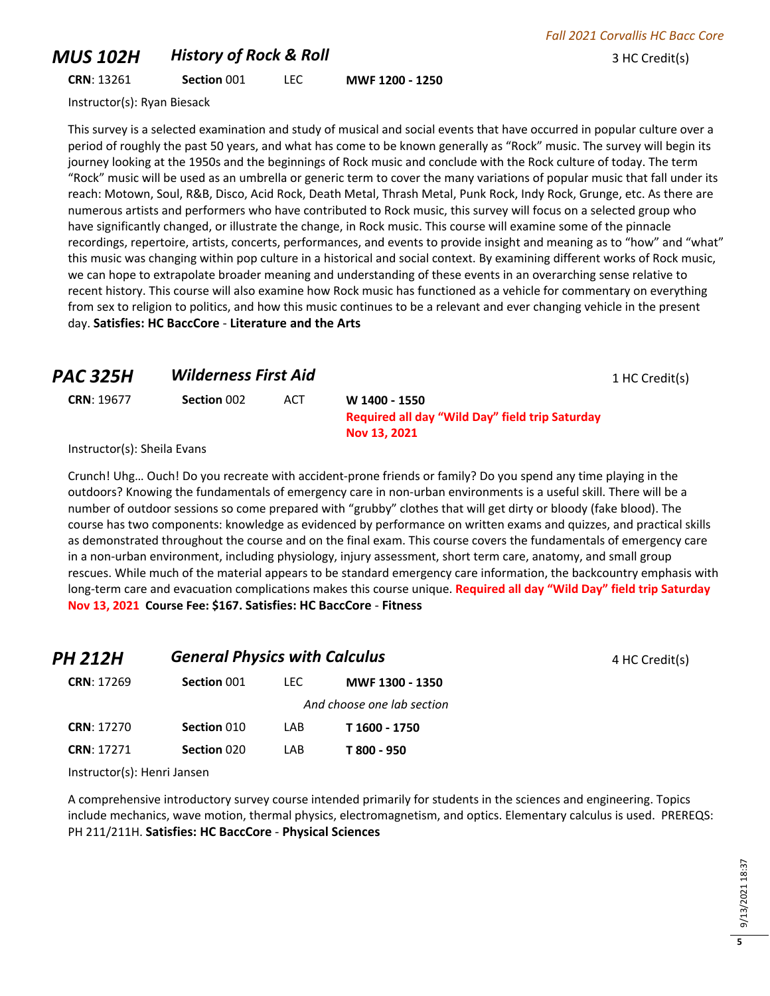### *MUS 102H* **History of Rock & Roll All and Secure 2 HC Credit(s)** 3 HC Credit(s)

**CRN**: 13261 **Section** 001 LEC **MWF 1200 - 1250**

Instructor(s): Ryan Biesack

This survey is a selected examination and study of musical and social events that have occurred in popular culture over a period of roughly the past 50 years, and what has come to be known generally as "Rock" music. The survey will begin its journey looking at the 1950s and the beginnings of Rock music and conclude with the Rock culture of today. The term "Rock" music will be used as an umbrella or generic term to cover the many variations of popular music that fall under its reach: Motown, Soul, R&B, Disco, Acid Rock, Death Metal, Thrash Metal, Punk Rock, Indy Rock, Grunge, etc. As there are numerous artists and performers who have contributed to Rock music, this survey will focus on a selected group who have significantly changed, or illustrate the change, in Rock music. This course will examine some of the pinnacle recordings, repertoire, artists, concerts, performances, and events to provide insight and meaning as to "how" and "what" this music was changing within pop culture in a historical and social context. By examining different works of Rock music, we can hope to extrapolate broader meaning and understanding of these events in an overarching sense relative to recent history. This course will also examine how Rock music has functioned as a vehicle for commentary on everything from sex to religion to politics, and how this music continues to be a relevant and ever changing vehicle in the present day. **Satisfies: HC BaccCore** - **Literature and the Arts**

### **PAC 325H Wilderness First Aid** 1 HC Credit(s)

**CRN**: 19677 **Section** 002 ACT **W 1400 - 1550**

**Required all day "Wild Day" field trip Saturday Nov 13, 2021**

Instructor(s): Sheila Evans

Crunch! Uhg… Ouch! Do you recreate with accident-prone friends or family? Do you spend any time playing in the outdoors? Knowing the fundamentals of emergency care in non-urban environments is a useful skill. There will be a number of outdoor sessions so come prepared with "grubby" clothes that will get dirty or bloody (fake blood). The course has two components: knowledge as evidenced by performance on written exams and quizzes, and practical skills as demonstrated throughout the course and on the final exam. This course covers the fundamentals of emergency care in a non-urban environment, including physiology, injury assessment, short term care, anatomy, and small group rescues. While much of the material appears to be standard emergency care information, the backcountry emphasis with long-term care and evacuation complications makes this course unique. **Required all day "Wild Day" field trip Saturday Nov 13, 2021 Course Fee: \$167. Satisfies: HC BaccCore** - **Fitness**

| PH 212H           | <b>General Physics with Calculus</b> |      |                            | 4 HC Credit(s) |
|-------------------|--------------------------------------|------|----------------------------|----------------|
| <b>CRN: 17269</b> | Section 001                          | LEC- | MWF 1300 - 1350            |                |
|                   |                                      |      | And choose one lab section |                |
| <b>CRN: 17270</b> | Section 010                          | LAB. | T 1600 - 1750              |                |
| <b>CRN: 17271</b> | Section 020                          | LAB  | T 800 - 950                |                |

Instructor(s): Henri Jansen

A comprehensive introductory survey course intended primarily for students in the sciences and engineering. Topics include mechanics, wave motion, thermal physics, electromagnetism, and optics. Elementary calculus is used. PREREQS: PH 211/211H. **Satisfies: HC BaccCore** - **Physical Sciences**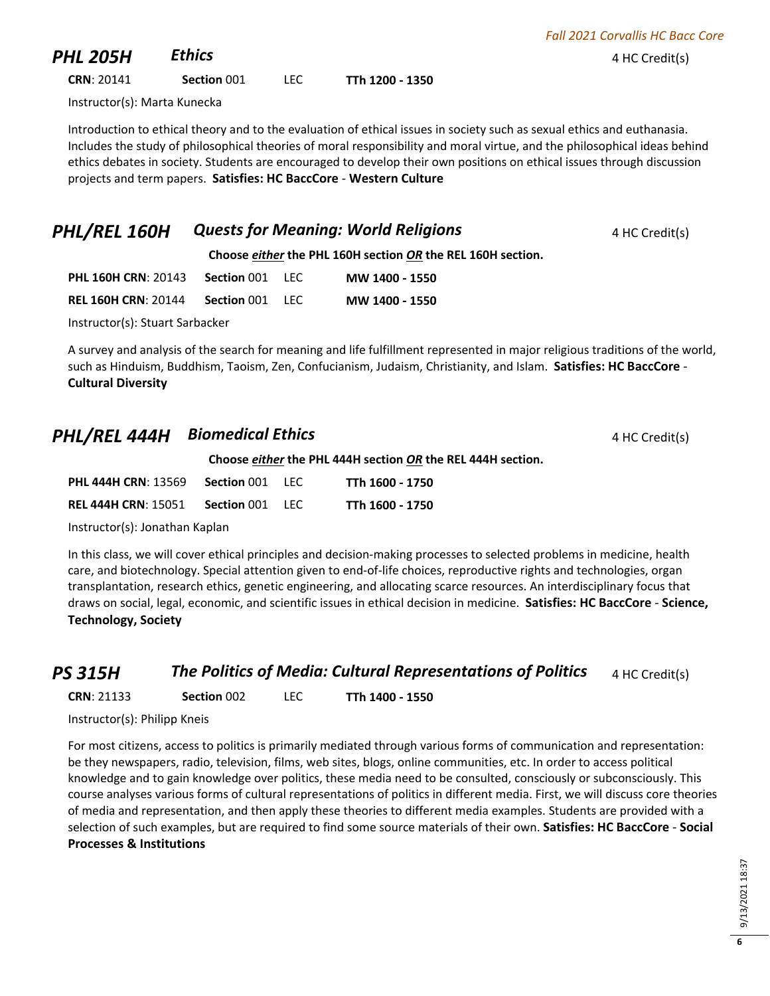| <b>PHL 205H</b>              | <b>Ethics</b> |       |                 | 4 HC Credit(s) |
|------------------------------|---------------|-------|-----------------|----------------|
| <b>CRN: 20141</b>            | Section 001   | LEC . | TTh 1200 - 1350 |                |
| Instructor(s): Marta Kunecka |               |       |                 |                |

Introduction to ethical theory and to the evaluation of ethical issues in society such as sexual ethics and euthanasia. Includes the study of philosophical theories of moral responsibility and moral virtue, and the philosophical ideas behind ethics debates in society. Students are encouraged to develop their own positions on ethical issues through discussion projects and term papers. **Satisfies: HC BaccCore** - **Western Culture**

### **PHL/REL 160H Quests for Meaning: World Religions** 4 HC Credit(s)

*Fall 2021 Corvallis HC Bacc Core*

**Choose** *either* **the PHL 160H section** *OR* **the REL 160H section.**

| <b>PHL 160H CRN: 20143</b> | <b>Section 001 LEC</b> |       | MW 1400 - 1550 |
|----------------------------|------------------------|-------|----------------|
| <b>REL 160H CRN: 20144</b> | Section 001            | - LEC | MW 1400 - 1550 |

Instructor(s): Stuart Sarbacker

A survey and analysis of the search for meaning and life fulfillment represented in major religious traditions of the world, such as Hinduism, Buddhism, Taoism, Zen, Confucianism, Judaism, Christianity, and Islam. **Satisfies: HC BaccCore** - **Cultural Diversity**

### **PHL/REL 444H Biomedical Ethics 4 HC Credit(s) 4 HC Credit(s)**

**Choose** *either* **the PHL 444H section** *OR* **the REL 444H section.**

| <b>PHL 444H CRN: 13569</b> | Section 001            | IFC. | TTh 1600 - 1750 |
|----------------------------|------------------------|------|-----------------|
| <b>REL 444H CRN: 15051</b> | <b>Section 001 LEC</b> |      | TTh 1600 - 1750 |

Instructor(s): Jonathan Kaplan

In this class, we will cover ethical principles and decision-making processes to selected problems in medicine, health care, and biotechnology. Special attention given to end-of-life choices, reproductive rights and technologies, organ transplantation, research ethics, genetic engineering, and allocating scarce resources. An interdisciplinary focus that draws on social, legal, economic, and scientific issues in ethical decision in medicine. **Satisfies: HC BaccCore** - **Science, Technology, Society**

### **PS 315H** *The Politics of Media: Cultural Representations of Politics* 4 HC Credit(s)

**CRN**: 21133 **Section** 002 LEC **TTh 1400 - 1550**

Instructor(s): Philipp Kneis

For most citizens, access to politics is primarily mediated through various forms of communication and representation: be they newspapers, radio, television, films, web sites, blogs, online communities, etc. In order to access political knowledge and to gain knowledge over politics, these media need to be consulted, consciously or subconsciously. This course analyses various forms of cultural representations of politics in different media. First, we will discuss core theories of media and representation, and then apply these theories to different media examples. Students are provided with a selection of such examples, but are required to find some source materials of their own. **Satisfies: HC BaccCore** - **Social Processes & Institutions**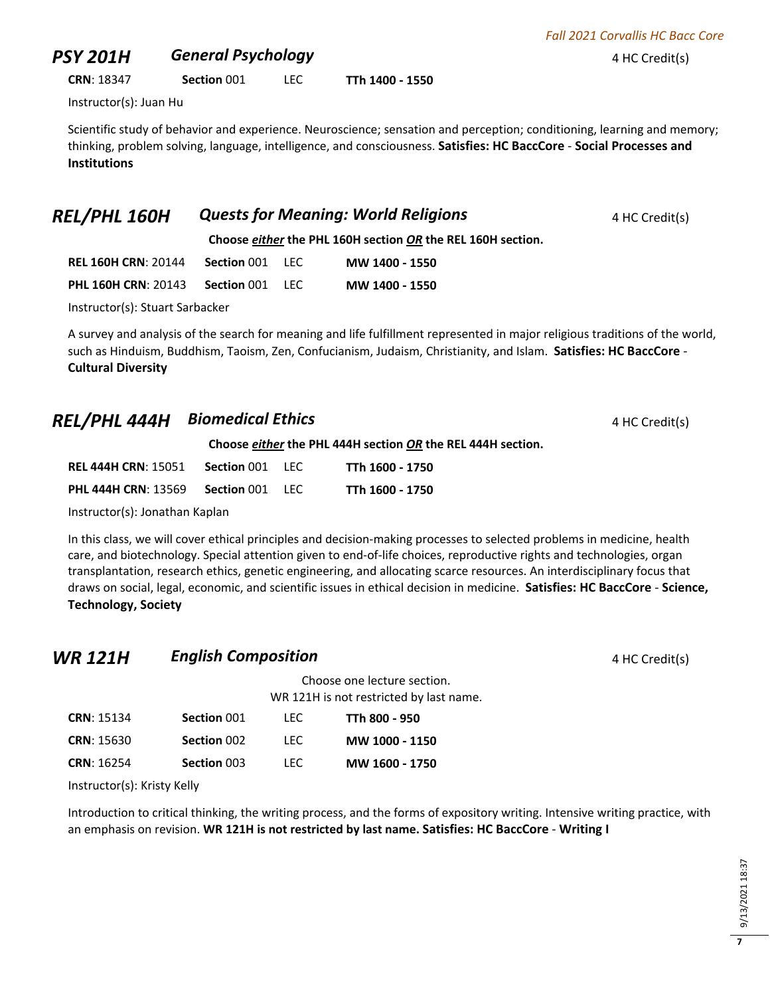## **PSY 201H General Psychology All Constants A HC Credit(s) 4 HC Credit(s)**

**CRN**: 18347 **Section** 001 LEC **TTh 1400 - 1550**

Instructor(s): Juan Hu

Scientific study of behavior and experience. Neuroscience; sensation and perception; conditioning, learning and memory; thinking, problem solving, language, intelligence, and consciousness. **Satisfies: HC BaccCore** - **Social Processes and Institutions**

| Choose either the PHL 160H section OR the REL 160H section. |  |  |                |  |  |
|-------------------------------------------------------------|--|--|----------------|--|--|
| <b>REL 160H CRN: 20144 Section 001 LEC</b>                  |  |  | MW 1400 - 1550 |  |  |
| <b>PHL 160H CRN: 20143 Section 001 LEC</b>                  |  |  | MW 1400 - 1550 |  |  |
| Instructor(s): Stuart Sarbacker                             |  |  |                |  |  |

**REL/PHL 160H Quests for Meaning: World Religions** 4 HC Credit(s)

A survey and analysis of the search for meaning and life fulfillment represented in major religious traditions of the world, such as Hinduism, Buddhism, Taoism, Zen, Confucianism, Judaism, Christianity, and Islam. **Satisfies: HC BaccCore** - **Cultural Diversity**

## **REL/PHL 444H Biomedical Ethics 4 HC Credit(s) 4 HC Credit(s)**

**Choose** *either* **the PHL 444H section** *OR* **the REL 444H section.**

| <b>REL 444H CRN: 15051</b> | Section 001 | -LEC.  | TTh 1600 - 1750 |
|----------------------------|-------------|--------|-----------------|
| <b>PHL 444H CRN: 13569</b> | Section 001 | - LEC. | TTh 1600 - 1750 |

Instructor(s): Jonathan Kaplan

In this class, we will cover ethical principles and decision-making processes to selected problems in medicine, health care, and biotechnology. Special attention given to end-of-life choices, reproductive rights and technologies, organ transplantation, research ethics, genetic engineering, and allocating scarce resources. An interdisciplinary focus that draws on social, legal, economic, and scientific issues in ethical decision in medicine. **Satisfies: HC BaccCore** - **Science, Technology, Society**

### **WR 121H English Composition English Composition 4 HC Credit(s)**

|                   |             | Choose one lecture section.<br>WR 121H is not restricted by last name. |                |  |
|-------------------|-------------|------------------------------------------------------------------------|----------------|--|
| <b>CRN: 15134</b> | Section 001 | TEC.                                                                   | TTh 800 - 950  |  |
| <b>CRN: 15630</b> | Section 002 | TEC.                                                                   | MW 1000 - 1150 |  |
| <b>CRN: 16254</b> | Section 003 | LEC                                                                    | MW 1600 - 1750 |  |

Instructor(s): Kristy Kelly

Introduction to critical thinking, the writing process, and the forms of expository writing. Intensive writing practice, with an emphasis on revision. **WR 121H is not restricted by last name. Satisfies: HC BaccCore** - **Writing I**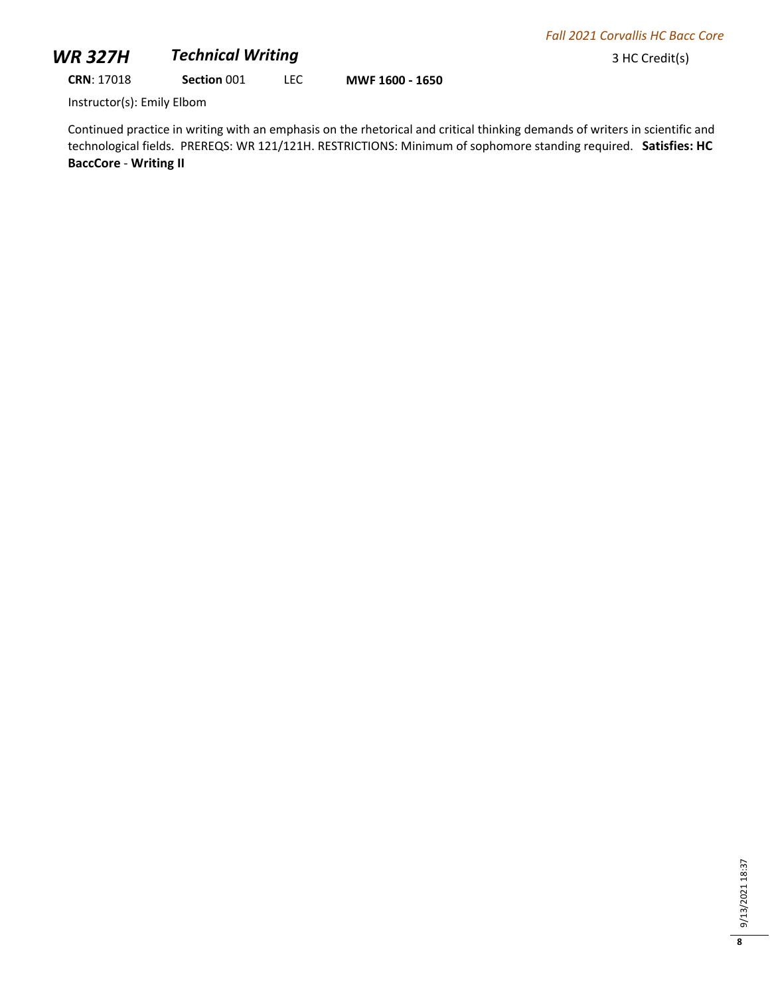## **WR 327H** *Technical Writing* 3 HC Credit(s)

**CRN**: 17018 **Section** 001 LEC **MWF 1600 - 1650**

Instructor(s): Emily Elbom

Continued practice in writing with an emphasis on the rhetorical and critical thinking demands of writers in scientific and technological fields. PREREQS: WR 121/121H. RESTRICTIONS: Minimum of sophomore standing required. **Satisfies: HC BaccCore** - **Writing II**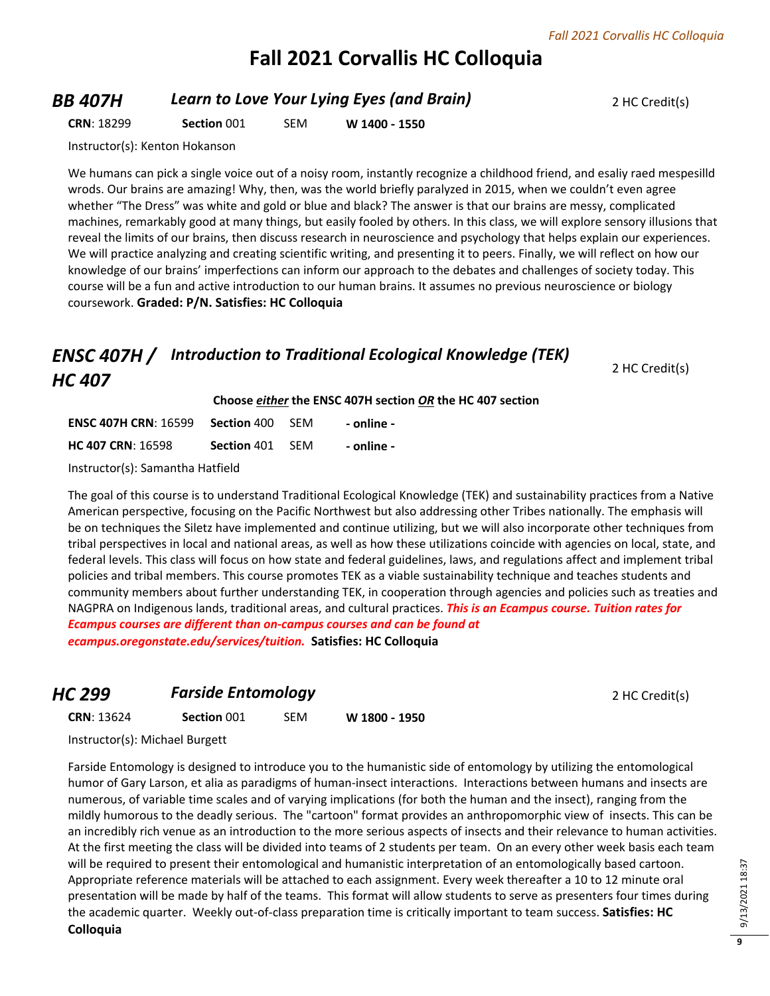# **Fall 2021 Corvallis HC Colloquia**

### **BB 407H Learn to Love Your Lying Eyes (and Brain)** 2 HC Credit(s)

**CRN**: 18299 **Section** 001 SEM **W 1400 - 1550**

Instructor(s): Kenton Hokanson

We humans can pick a single voice out of a noisy room, instantly recognize a childhood friend, and esaliy raed mespesilld wrods. Our brains are amazing! Why, then, was the world briefly paralyzed in 2015, when we couldn't even agree whether "The Dress" was white and gold or blue and black? The answer is that our brains are messy, complicated machines, remarkably good at many things, but easily fooled by others. In this class, we will explore sensory illusions that reveal the limits of our brains, then discuss research in neuroscience and psychology that helps explain our experiences. We will practice analyzing and creating scientific writing, and presenting it to peers. Finally, we will reflect on how our knowledge of our brains' imperfections can inform our approach to the debates and challenges of society today. This course will be a fun and active introduction to our human brains. It assumes no previous neuroscience or biology coursework. **Graded: P/N. Satisfies: HC Colloquia**

## *ENSC 407H / Introduction to Traditional Ecological Knowledge (TEK) HC 407*

2 HC Credit(s)

| Choose either the ENSC 407H section OR the HC 407 section |  |
|-----------------------------------------------------------|--|
|-----------------------------------------------------------|--|

| <b>ENSC 407H CRN: 16599</b> | Section 400 | -SFM | - online - |
|-----------------------------|-------------|------|------------|
| <b>HC 407 CRN: 16598</b>    | Section 401 | -SFM | - online - |

Instructor(s): Samantha Hatfield

The goal of this course is to understand Traditional Ecological Knowledge (TEK) and sustainability practices from a Native American perspective, focusing on the Pacific Northwest but also addressing other Tribes nationally. The emphasis will be on techniques the Siletz have implemented and continue utilizing, but we will also incorporate other techniques from tribal perspectives in local and national areas, as well as how these utilizations coincide with agencies on local, state, and federal levels. This class will focus on how state and federal guidelines, laws, and regulations affect and implement tribal policies and tribal members. This course promotes TEK as a viable sustainability technique and teaches students and community members about further understanding TEK, in cooperation through agencies and policies such as treaties and NAGPRA on Indigenous lands, traditional areas, and cultural practices. *This is an Ecampus course. Tuition rates for Ecampus courses are different than on-campus courses and can be found at* 

*ecampus.oregonstate.edu/services/tuition.* **Satisfies: HC Colloquia**

### *HC 299* **Farside Entomology** *PHC 299* 2 HC Credit(s)

**CRN**: 13624 **Section** 001 SEM **W 1800 - 1950**

Instructor(s): Michael Burgett

Farside Entomology is designed to introduce you to the humanistic side of entomology by utilizing the entomological humor of Gary Larson, et alia as paradigms of human-insect interactions. Interactions between humans and insects are numerous, of variable time scales and of varying implications (for both the human and the insect), ranging from the mildly humorous to the deadly serious. The "cartoon" format provides an anthropomorphic view of insects. This can be an incredibly rich venue as an introduction to the more serious aspects of insects and their relevance to human activities. At the first meeting the class will be divided into teams of 2 students per team. On an every other week basis each team will be required to present their entomological and humanistic interpretation of an entomologically based cartoon. Appropriate reference materials will be attached to each assignment. Every week thereafter a 10 to 12 minute oral presentation will be made by half of the teams. This format will allow students to serve as presenters four times during the academic quarter. Weekly out-of-class preparation time is critically important to team success. **Satisfies: HC Colloquia**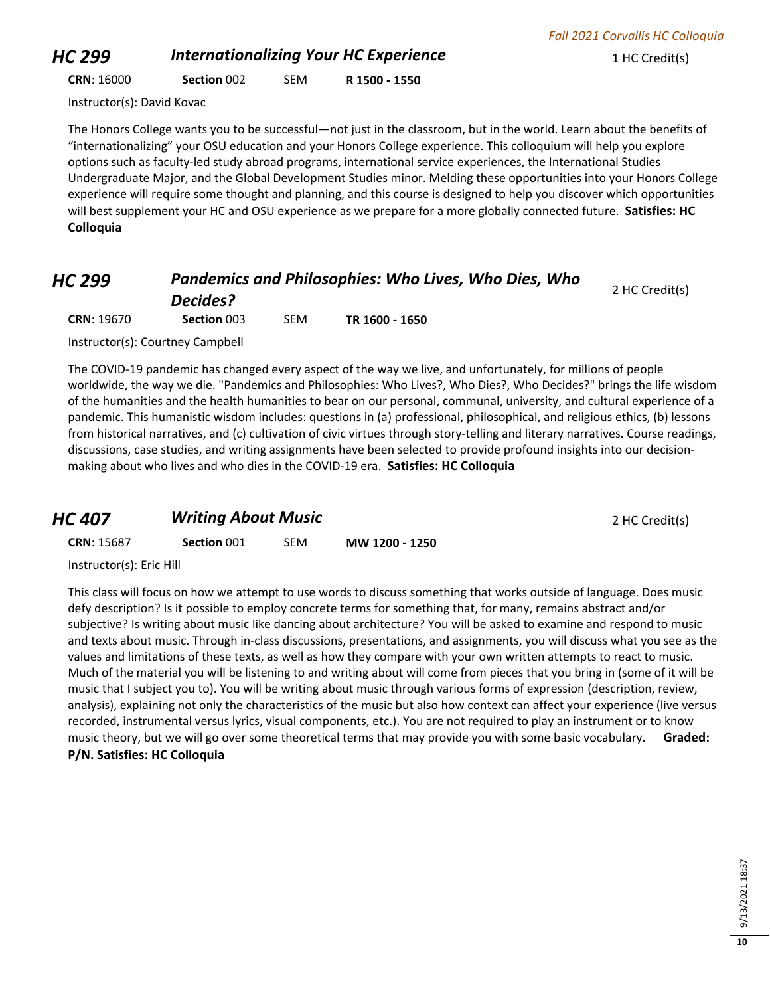## **HC 299** *Internationalizing Your HC Experience* 1 HC Credit(s)

*Fall 2021 Corvallis HC Colloquia*

**CRN**: 16000 **Section** 002 SEM **R 1500 - 1550**

Instructor(s): David Kovac

The Honors College wants you to be successful—not just in the classroom, but in the world. Learn about the benefits of "internationalizing" your OSU education and your Honors College experience. This colloquium will help you explore options such as faculty-led study abroad programs, international service experiences, the International Studies Undergraduate Major, and the Global Development Studies minor. Melding these opportunities into your Honors College experience will require some thought and planning, and this course is designed to help you discover which opportunities will best supplement your HC and OSU experience as we prepare for a more globally connected future. **Satisfies: HC Colloquia**

**Pandemics and Philosophies: Who Lives, Who Dies, Who** *Decides?* 2 HC Credit(s) **CRN**: 19670 **Section** 003 SEM **TR 1600 - 1650**

Instructor(s): Courtney Campbell

The COVID-19 pandemic has changed every aspect of the way we live, and unfortunately, for millions of people worldwide, the way we die. "Pandemics and Philosophies: Who Lives?, Who Dies?, Who Decides?" brings the life wisdom of the humanities and the health humanities to bear on our personal, communal, university, and cultural experience of a pandemic. This humanistic wisdom includes: questions in (a) professional, philosophical, and religious ethics, (b) lessons from historical narratives, and (c) cultivation of civic virtues through story-telling and literary narratives. Course readings, discussions, case studies, and writing assignments have been selected to provide profound insights into our decisionmaking about who lives and who dies in the COVID-19 era. **Satisfies: HC Colloquia**

### *HC 407* **Writing About Music** *PHC 407* **Writing About Music**

**CRN**: 15687 **Section** 001 SEM **MW 1200 - 1250**

Instructor(s): Eric Hill

This class will focus on how we attempt to use words to discuss something that works outside of language. Does music defy description? Is it possible to employ concrete terms for something that, for many, remains abstract and/or subjective? Is writing about music like dancing about architecture? You will be asked to examine and respond to music and texts about music. Through in-class discussions, presentations, and assignments, you will discuss what you see as the values and limitations of these texts, as well as how they compare with your own written attempts to react to music. Much of the material you will be listening to and writing about will come from pieces that you bring in (some of it will be music that I subject you to). You will be writing about music through various forms of expression (description, review, analysis), explaining not only the characteristics of the music but also how context can affect your experience (live versus recorded, instrumental versus lyrics, visual components, etc.). You are not required to play an instrument or to know music theory, but we will go over some theoretical terms that may provide you with some basic vocabulary. **Graded: P/N. Satisfies: HC Colloquia**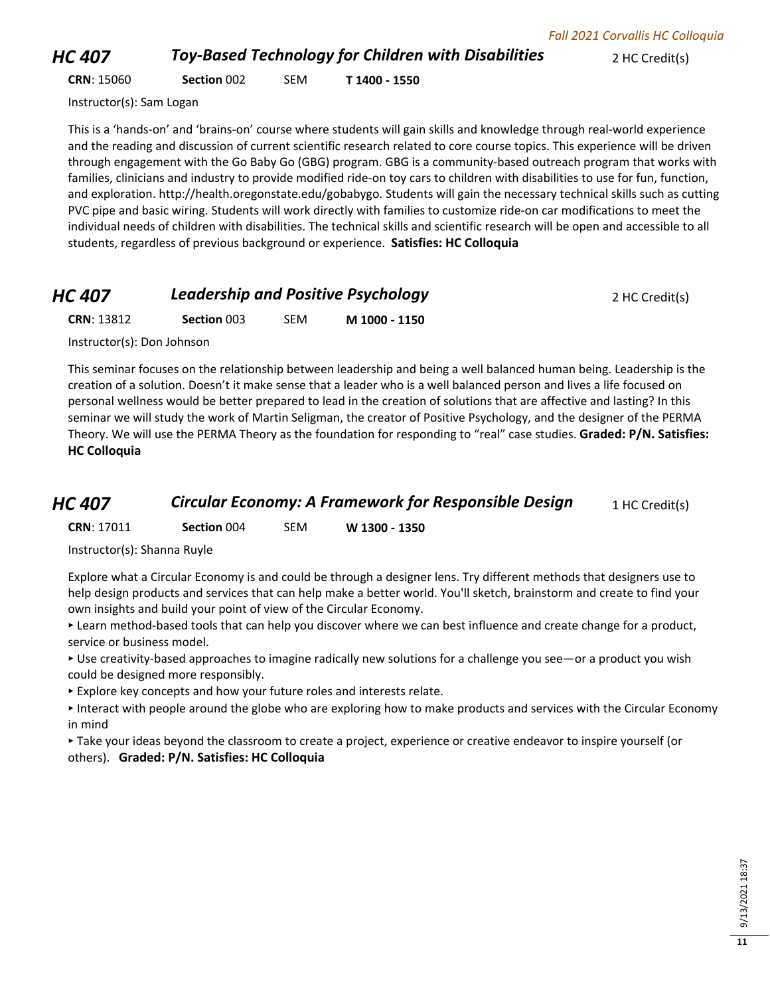*HC 407 Toy-Based Technology for Children with Disabilities* **2 HC Credit(s)** 

**CRN**: 15060 **Section** 002 SEM **T 1400 - 1550**

Instructor(s): Sam Logan

This is a 'hands-on' and 'brains-on' course where students will gain skills and knowledge through real-world experience and the reading and discussion of current scientific research related to core course topics. This experience will be driven through engagement with the Go Baby Go (GBG) program. GBG is a community-based outreach program that works with families, clinicians and industry to provide modified ride-on toy cars to children with disabilities to use for fun, function, and exploration. http://health.oregonstate.edu/gobabygo. Students will gain the necessary technical skills such as cutting PVC pipe and basic wiring. Students will work directly with families to customize ride-on car modifications to meet the individual needs of children with disabilities. The technical skills and scientific research will be open and accessible to all students, regardless of previous background or experience. **Satisfies: HC Colloquia**

### *HC 407* **Leadership and Positive Psychology 2 HC Credit(s)**

**CRN**: 13812 **Section** 003 SEM **M 1000 - 1150**

Instructor(s): Don Johnson

This seminar focuses on the relationship between leadership and being a well balanced human being. Leadership is the creation of a solution. Doesn't it make sense that a leader who is a well balanced person and lives a life focused on personal wellness would be better prepared to lead in the creation of solutions that are affective and lasting? In this seminar we will study the work of Martin Seligman, the creator of Positive Psychology, and the designer of the PERMA Theory. We will use the PERMA Theory as the foundation for responding to "real" case studies. **Graded: P/N. Satisfies: HC Colloquia**

### *HC 407* **Circular Economy: A Framework for Responsible Design** 1 HC Credit(s)

**CRN**: 17011 **Section** 004 SEM **W 1300 - 1350**

Instructor(s): Shanna Ruyle

Explore what a Circular Economy is and could be through a designer lens. Try different methods that designers use to help design products and services that can help make a better world. You'll sketch, brainstorm and create to find your own insights and build your point of view of the Circular Economy.

‣ Learn method-based tools that can help you discover where we can best influence and create change for a product, service or business model.

‣ Use creativity-based approaches to imagine radically new solutions for a challenge you see—or a product you wish could be designed more responsibly.

‣ Explore key concepts and how your future roles and interests relate.

‣ Interact with people around the globe who are exploring how to make products and services with the Circular Economy in mind

‣ Take your ideas beyond the classroom to create a project, experience or creative endeavor to inspire yourself (or others). **Graded: P/N. Satisfies: HC Colloquia**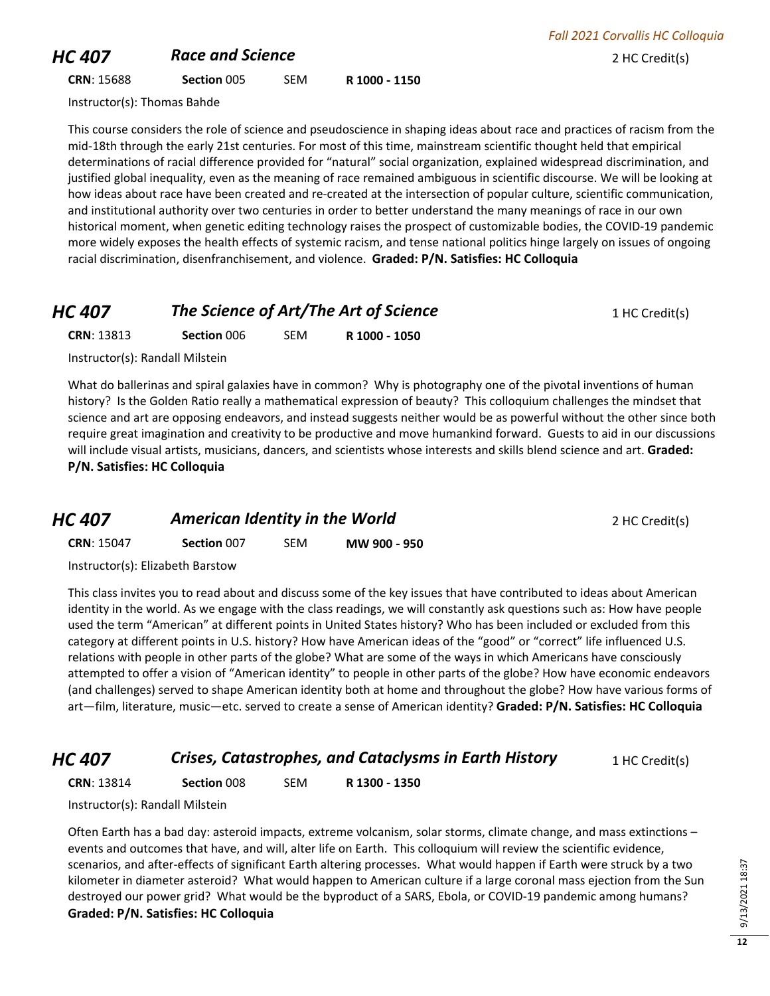### **HC 407 Race and Science** *Race and Science PHC 407 Race and Science* **<b>***PHC 802 HC Credit(s)*

**CRN**: 15688 **Section** 005 SEM **R 1000 - 1150**

Instructor(s): Thomas Bahde

This course considers the role of science and pseudoscience in shaping ideas about race and practices of racism from the mid-18th through the early 21st centuries. For most of this time, mainstream scientific thought held that empirical determinations of racial difference provided for "natural" social organization, explained widespread discrimination, and justified global inequality, even as the meaning of race remained ambiguous in scientific discourse. We will be looking at how ideas about race have been created and re-created at the intersection of popular culture, scientific communication, and institutional authority over two centuries in order to better understand the many meanings of race in our own historical moment, when genetic editing technology raises the prospect of customizable bodies, the COVID-19 pandemic more widely exposes the health effects of systemic racism, and tense national politics hinge largely on issues of ongoing racial discrimination, disenfranchisement, and violence. **Graded: P/N. Satisfies: HC Colloquia**

### **HC 407 The Science of Art/The Art of Science** 1 HC Credit(s)

**CRN**: 13813 **Section** 006 SEM **R 1000 - 1050**

Instructor(s): Randall Milstein

What do ballerinas and spiral galaxies have in common? Why is photography one of the pivotal inventions of human history? Is the Golden Ratio really a mathematical expression of beauty? This colloquium challenges the mindset that science and art are opposing endeavors, and instead suggests neither would be as powerful without the other since both require great imagination and creativity to be productive and move humankind forward. Guests to aid in our discussions will include visual artists, musicians, dancers, and scientists whose interests and skills blend science and art. **Graded: P/N. Satisfies: HC Colloquia**

| HC 407            | American Identity in the World   |     |              | 2 HC Credit(s) |
|-------------------|----------------------------------|-----|--------------|----------------|
| <b>CRN: 15047</b> | Section 007                      | SEM | MW 900 - 950 |                |
|                   | Instructor(s): Elizabeth Barstow |     |              |                |

This class invites you to read about and discuss some of the key issues that have contributed to ideas about American identity in the world. As we engage with the class readings, we will constantly ask questions such as: How have people used the term "American" at different points in United States history? Who has been included or excluded from this category at different points in U.S. history? How have American ideas of the "good" or "correct" life influenced U.S. relations with people in other parts of the globe? What are some of the ways in which Americans have consciously attempted to offer a vision of "American identity" to people in other parts of the globe? How have economic endeavors (and challenges) served to shape American identity both at home and throughout the globe? How have various forms of art—film, literature, music—etc. served to create a sense of American identity? **Graded: P/N. Satisfies: HC Colloquia**

### *HC 407* **Crises, Catastrophes, and Cataclysms in Earth History** 1 HC Credit(s)

**CRN**: 13814 **Section** 008 SEM **R 1300 - 1350**

Instructor(s): Randall Milstein

Often Earth has a bad day: asteroid impacts, extreme volcanism, solar storms, climate change, and mass extinctions – events and outcomes that have, and will, alter life on Earth. This colloquium will review the scientific evidence, scenarios, and after-effects of significant Earth altering processes. What would happen if Earth were struck by a two kilometer in diameter asteroid? What would happen to American culture if a large coronal mass ejection from the Sun destroyed our power grid? What would be the byproduct of a SARS, Ebola, or COVID-19 pandemic among humans? **Graded: P/N. Satisfies: HC Colloquia**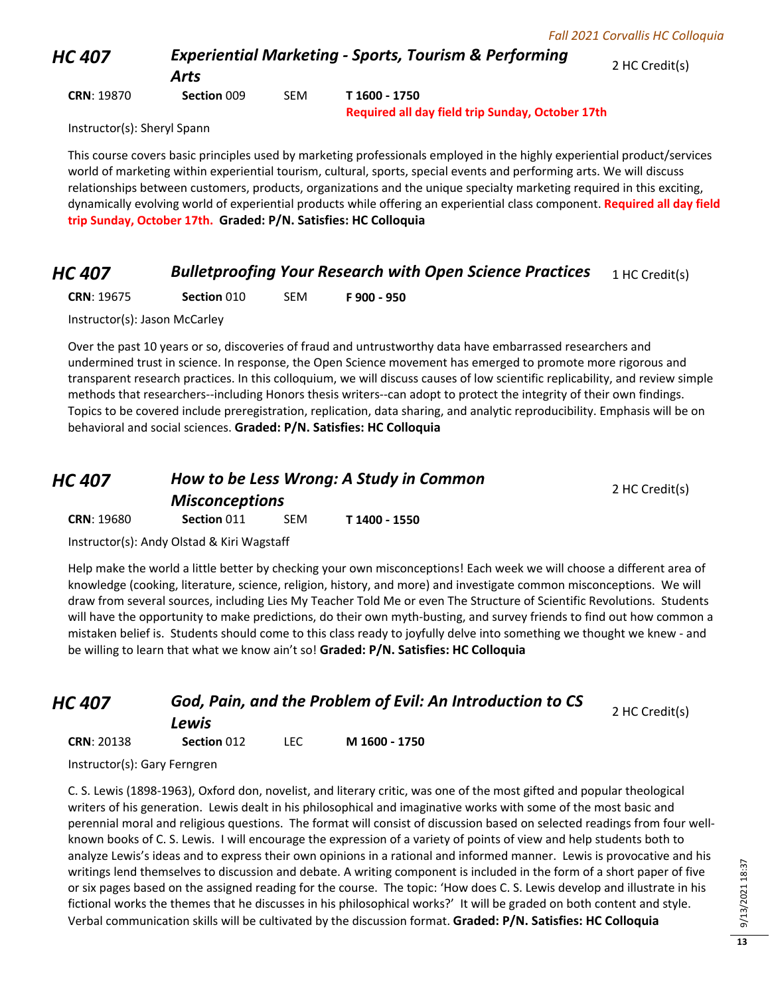*HC 407 Experiential Marketing - Sports, Tourism & Performing Arts* 2 HC Credit(s)

**CRN**: 19870 **Section** 009 SEM **T 1600 - 1750**

**Required all day field trip Sunday, October 17th**

Instructor(s): Sheryl Spann

This course covers basic principles used by marketing professionals employed in the highly experiential product/services world of marketing within experiential tourism, cultural, sports, special events and performing arts. We will discuss relationships between customers, products, organizations and the unique specialty marketing required in this exciting, dynamically evolving world of experiential products while offering an experiential class component. **Required all day field trip Sunday, October 17th. Graded: P/N. Satisfies: HC Colloquia**

### *HC 407* **Bulletproofing Your Research with Open Science Practices** 1 HC Credit(s)

**CRN**: 19675 **Section** 010 SEM **F 900 - 950**

Instructor(s): Jason McCarley

Over the past 10 years or so, discoveries of fraud and untrustworthy data have embarrassed researchers and undermined trust in science. In response, the Open Science movement has emerged to promote more rigorous and transparent research practices. In this colloquium, we will discuss causes of low scientific replicability, and review simple methods that researchers--including Honors thesis writers--can adopt to protect the integrity of their own findings. Topics to be covered include preregistration, replication, data sharing, and analytic reproducibility. Emphasis will be on behavioral and social sciences. **Graded: P/N. Satisfies: HC Colloquia**

| HC 407            | How to be Less Wrong: A Study in Common<br><b>Misconceptions</b> |            |               | 2 HC Credit(s) |
|-------------------|------------------------------------------------------------------|------------|---------------|----------------|
| <b>CRN: 19680</b> | Section 011                                                      | <b>SEM</b> | T 1400 - 1550 |                |

Instructor(s): Andy Olstad & Kiri Wagstaff

Help make the world a little better by checking your own misconceptions! Each week we will choose a different area of knowledge (cooking, literature, science, religion, history, and more) and investigate common misconceptions. We will draw from several sources, including Lies My Teacher Told Me or even The Structure of Scientific Revolutions. Students will have the opportunity to make predictions, do their own myth-busting, and survey friends to find out how common a mistaken belief is. Students should come to this class ready to joyfully delve into something we thought we knew - and be willing to learn that what we know ain't so! **Graded: P/N. Satisfies: HC Colloquia**

| HC 407            | God, Pain, and the Problem of Evil: An Introduction to CS | 2 HC Credit(s) |               |  |
|-------------------|-----------------------------------------------------------|----------------|---------------|--|
|                   | Lewis                                                     |                |               |  |
| <b>CRN: 20138</b> | <b>Section 012</b>                                        | LEC.           | M 1600 - 1750 |  |

Instructor(s): Gary Ferngren

C. S. Lewis (1898-1963), Oxford don, novelist, and literary critic, was one of the most gifted and popular theological writers of his generation. Lewis dealt in his philosophical and imaginative works with some of the most basic and perennial moral and religious questions. The format will consist of discussion based on selected readings from four wellknown books of C. S. Lewis. I will encourage the expression of a variety of points of view and help students both to analyze Lewis's ideas and to express their own opinions in a rational and informed manner. Lewis is provocative and his writings lend themselves to discussion and debate. A writing component is included in the form of a short paper of five or six pages based on the assigned reading for the course. The topic: 'How does C. S. Lewis develop and illustrate in his fictional works the themes that he discusses in his philosophical works?' It will be graded on both content and style. Verbal communication skills will be cultivated by the discussion format. **Graded: P/N. Satisfies: HC Colloquia**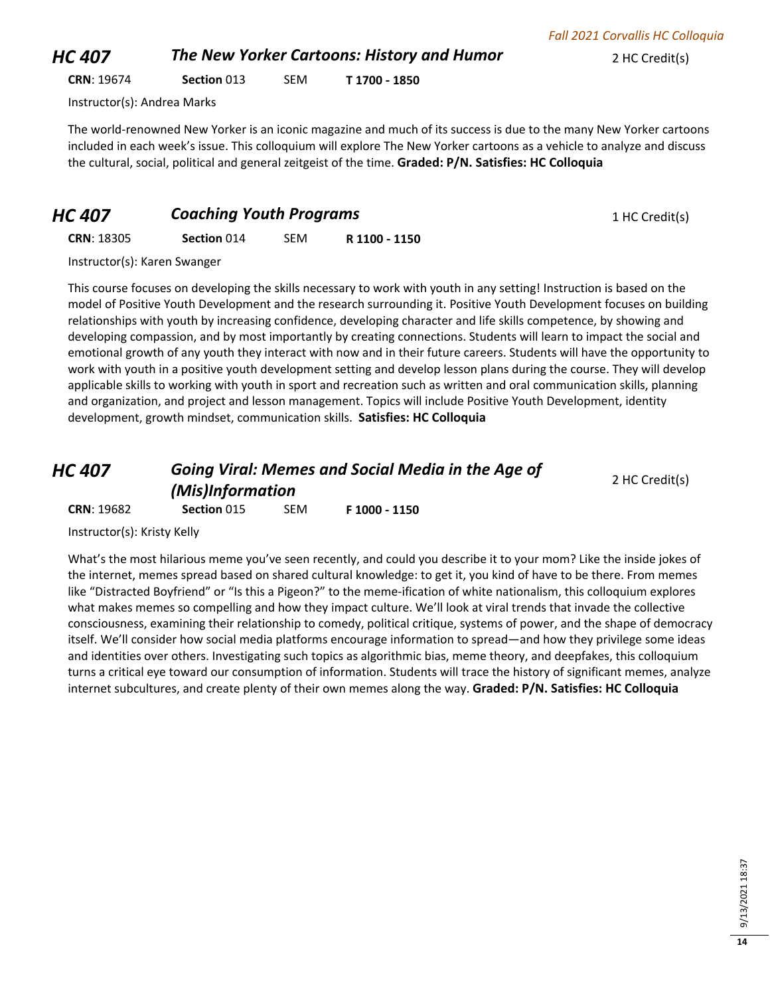*HC 407* **The New Yorker Cartoons: History and Humor 2 HC Credit(s) CRN**: 19674 **Section** 013 SEM **T 1700 - 1850**

Instructor(s): Andrea Marks

The world-renowned New Yorker is an iconic magazine and much of its success is due to the many New Yorker cartoons included in each week's issue. This colloquium will explore The New Yorker cartoons as a vehicle to analyze and discuss the cultural, social, political and general zeitgeist of the time. **Graded: P/N. Satisfies: HC Colloquia**

| <b>Coaching Youth Programs</b><br><b>HC 407</b> | 1 HC Credit(s) |
|-------------------------------------------------|----------------|
|-------------------------------------------------|----------------|

**CRN**: 18305 **Section** 014 SEM **R 1100 - 1150**

Instructor(s): Karen Swanger

This course focuses on developing the skills necessary to work with youth in any setting! Instruction is based on the model of Positive Youth Development and the research surrounding it. Positive Youth Development focuses on building relationships with youth by increasing confidence, developing character and life skills competence, by showing and developing compassion, and by most importantly by creating connections. Students will learn to impact the social and emotional growth of any youth they interact with now and in their future careers. Students will have the opportunity to work with youth in a positive youth development setting and develop lesson plans during the course. They will develop applicable skills to working with youth in sport and recreation such as written and oral communication skills, planning and organization, and project and lesson management. Topics will include Positive Youth Development, identity development, growth mindset, communication skills. **Satisfies: HC Colloquia**

| HC 407            | <b>Going Viral: Memes and Social Media in the Age of</b><br>(Mis)Information |     |               | 2 HC Credit(s) |
|-------------------|------------------------------------------------------------------------------|-----|---------------|----------------|
| <b>CRN: 19682</b> | <b>Section 015</b>                                                           | SEM | F 1000 - 1150 |                |

Instructor(s): Kristy Kelly

What's the most hilarious meme you've seen recently, and could you describe it to your mom? Like the inside jokes of the internet, memes spread based on shared cultural knowledge: to get it, you kind of have to be there. From memes like "Distracted Boyfriend" or "Is this a Pigeon?" to the meme-ification of white nationalism, this colloquium explores what makes memes so compelling and how they impact culture. We'll look at viral trends that invade the collective consciousness, examining their relationship to comedy, political critique, systems of power, and the shape of democracy itself. We'll consider how social media platforms encourage information to spread—and how they privilege some ideas and identities over others. Investigating such topics as algorithmic bias, meme theory, and deepfakes, this colloquium turns a critical eye toward our consumption of information. Students will trace the history of significant memes, analyze internet subcultures, and create plenty of their own memes along the way. **Graded: P/N. Satisfies: HC Colloquia**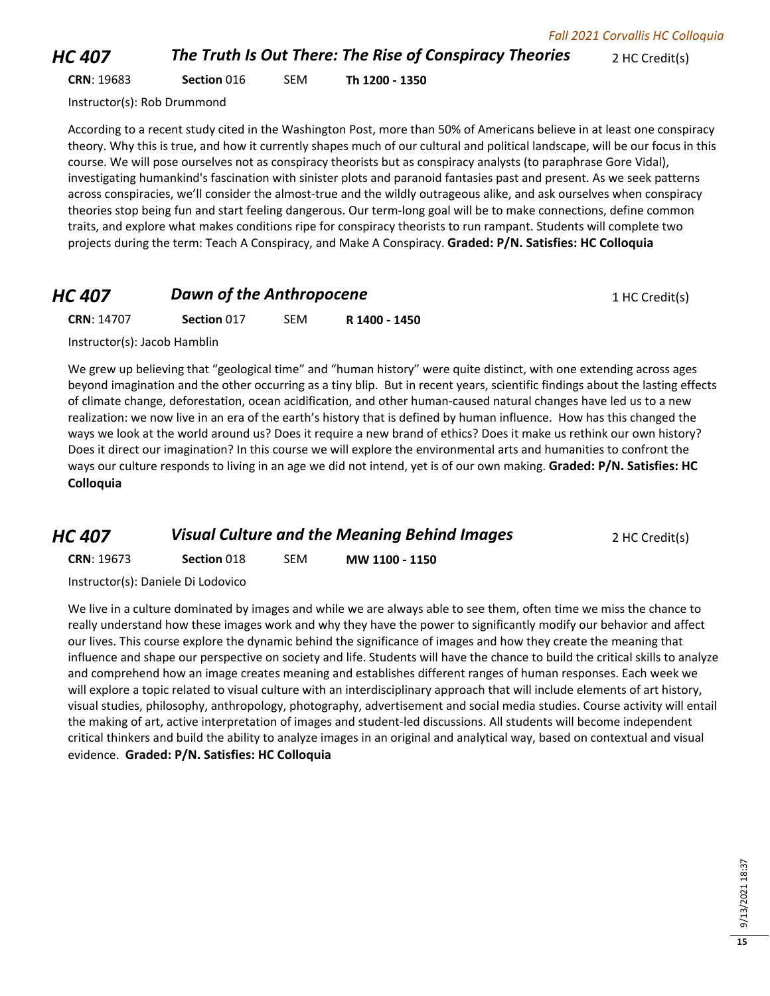*HC 407* **The Truth Is Out There: The Rise of Conspiracy Theories** 2 HC Credit(s)

**CRN**: 19683 **Section** 016 SEM **Th 1200 - 1350**

Instructor(s): Rob Drummond

According to a recent study cited in the Washington Post, more than 50% of Americans believe in at least one conspiracy theory. Why this is true, and how it currently shapes much of our cultural and political landscape, will be our focus in this course. We will pose ourselves not as conspiracy theorists but as conspiracy analysts (to paraphrase Gore Vidal), investigating humankind's fascination with sinister plots and paranoid fantasies past and present. As we seek patterns across conspiracies, we'll consider the almost-true and the wildly outrageous alike, and ask ourselves when conspiracy theories stop being fun and start feeling dangerous. Our term-long goal will be to make connections, define common traits, and explore what makes conditions ripe for conspiracy theorists to run rampant. Students will complete two projects during the term: Teach A Conspiracy, and Make A Conspiracy. **Graded: P/N. Satisfies: HC Colloquia**

### *HC 407* **Dawn of the Anthropocene** 1 HC Credit(s)

**CRN**: 14707 **Section** 017 SEM **R 1400 - 1450**

Instructor(s): Jacob Hamblin

We grew up believing that "geological time" and "human history" were quite distinct, with one extending across ages beyond imagination and the other occurring as a tiny blip. But in recent years, scientific findings about the lasting effects of climate change, deforestation, ocean acidification, and other human-caused natural changes have led us to a new realization: we now live in an era of the earth's history that is defined by human influence. How has this changed the ways we look at the world around us? Does it require a new brand of ethics? Does it make us rethink our own history? Does it direct our imagination? In this course we will explore the environmental arts and humanities to confront the ways our culture responds to living in an age we did not intend, yet is of our own making. **Graded: P/N. Satisfies: HC Colloquia**

| HC 407            | <b>Visual Culture and the Meaning Behind Images</b> |     |                | 2 HC Credit(s) |
|-------------------|-----------------------------------------------------|-----|----------------|----------------|
| <b>CRN: 19673</b> | <b>Section 018</b>                                  | SEM | MW 1100 - 1150 |                |

Instructor(s): Daniele Di Lodovico

We live in a culture dominated by images and while we are always able to see them, often time we miss the chance to really understand how these images work and why they have the power to significantly modify our behavior and affect our lives. This course explore the dynamic behind the significance of images and how they create the meaning that influence and shape our perspective on society and life. Students will have the chance to build the critical skills to analyze and comprehend how an image creates meaning and establishes different ranges of human responses. Each week we will explore a topic related to visual culture with an interdisciplinary approach that will include elements of art history, visual studies, philosophy, anthropology, photography, advertisement and social media studies. Course activity will entail the making of art, active interpretation of images and student-led discussions. All students will become independent critical thinkers and build the ability to analyze images in an original and analytical way, based on contextual and visual evidence. **Graded: P/N. Satisfies: HC Colloquia**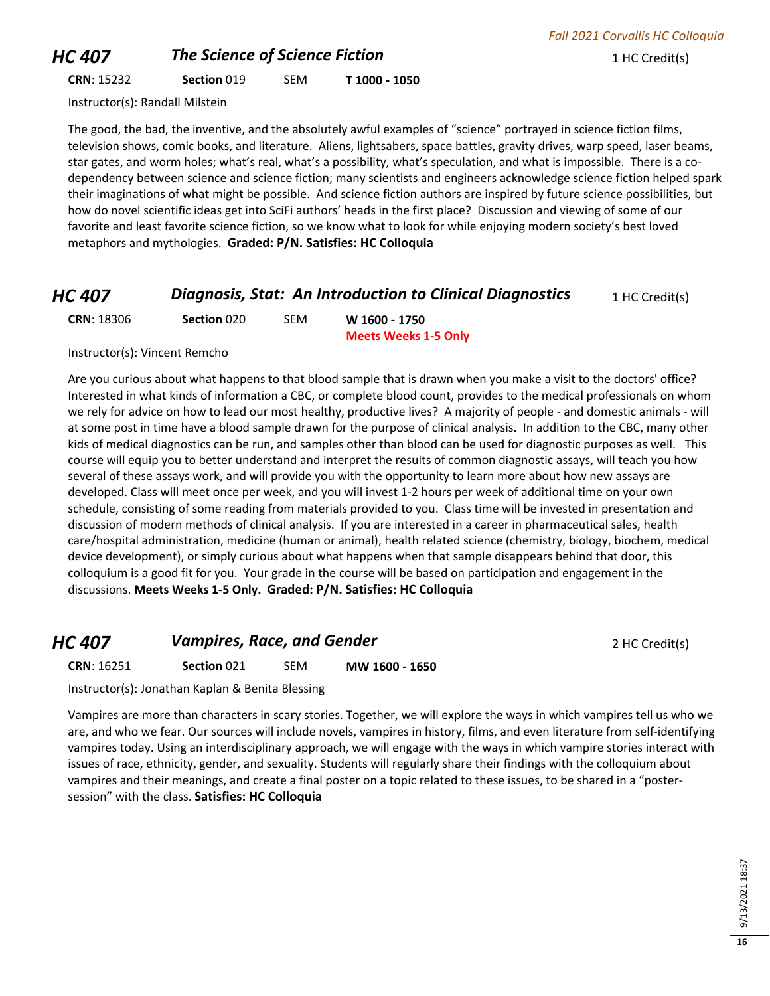## **HC 407 The Science of Science Fiction 1 HC Credit(s)**

### **CRN**: 15232 **Section** 019 SEM **T 1000 - 1050**

Instructor(s): Randall Milstein

The good, the bad, the inventive, and the absolutely awful examples of "science" portrayed in science fiction films, television shows, comic books, and literature. Aliens, lightsabers, space battles, gravity drives, warp speed, laser beams, star gates, and worm holes; what's real, what's a possibility, what's speculation, and what is impossible. There is a codependency between science and science fiction; many scientists and engineers acknowledge science fiction helped spark their imaginations of what might be possible. And science fiction authors are inspired by future science possibilities, but how do novel scientific ideas get into SciFi authors' heads in the first place? Discussion and viewing of some of our favorite and least favorite science fiction, so we know what to look for while enjoying modern society's best loved metaphors and mythologies. **Graded: P/N. Satisfies: HC Colloquia**

### *HC 407* **Diagnosis, Stat: An Introduction to Clinical Diagnostics** 1 HC Credit(s)

| <b>CRN: 18306</b> | Section 020 | SEM | W 1600 - 1750               |
|-------------------|-------------|-----|-----------------------------|
|                   |             |     | <b>Meets Weeks 1-5 Only</b> |

Instructor(s): Vincent Remcho

Are you curious about what happens to that blood sample that is drawn when you make a visit to the doctors' office? Interested in what kinds of information a CBC, or complete blood count, provides to the medical professionals on whom we rely for advice on how to lead our most healthy, productive lives? A majority of people - and domestic animals - will at some post in time have a blood sample drawn for the purpose of clinical analysis. In addition to the CBC, many other kids of medical diagnostics can be run, and samples other than blood can be used for diagnostic purposes as well. This course will equip you to better understand and interpret the results of common diagnostic assays, will teach you how several of these assays work, and will provide you with the opportunity to learn more about how new assays are developed. Class will meet once per week, and you will invest 1-2 hours per week of additional time on your own schedule, consisting of some reading from materials provided to you. Class time will be invested in presentation and discussion of modern methods of clinical analysis. If you are interested in a career in pharmaceutical sales, health care/hospital administration, medicine (human or animal), health related science (chemistry, biology, biochem, medical device development), or simply curious about what happens when that sample disappears behind that door, this colloquium is a good fit for you. Your grade in the course will be based on participation and engagement in the discussions. **Meets Weeks 1-5 Only. Graded: P/N. Satisfies: HC Colloquia**

### **HC 407 Vampires, Race, and Gender 1988 <b>2** AC Credit(s)

**CRN**: 16251 **Section** 021 SEM **MW 1600 - 1650**

Instructor(s): Jonathan Kaplan & Benita Blessing

Vampires are more than characters in scary stories. Together, we will explore the ways in which vampires tell us who we are, and who we fear. Our sources will include novels, vampires in history, films, and even literature from self-identifying vampires today. Using an interdisciplinary approach, we will engage with the ways in which vampire stories interact with issues of race, ethnicity, gender, and sexuality. Students will regularly share their findings with the colloquium about vampires and their meanings, and create a final poster on a topic related to these issues, to be shared in a "postersession" with the class. **Satisfies: HC Colloquia**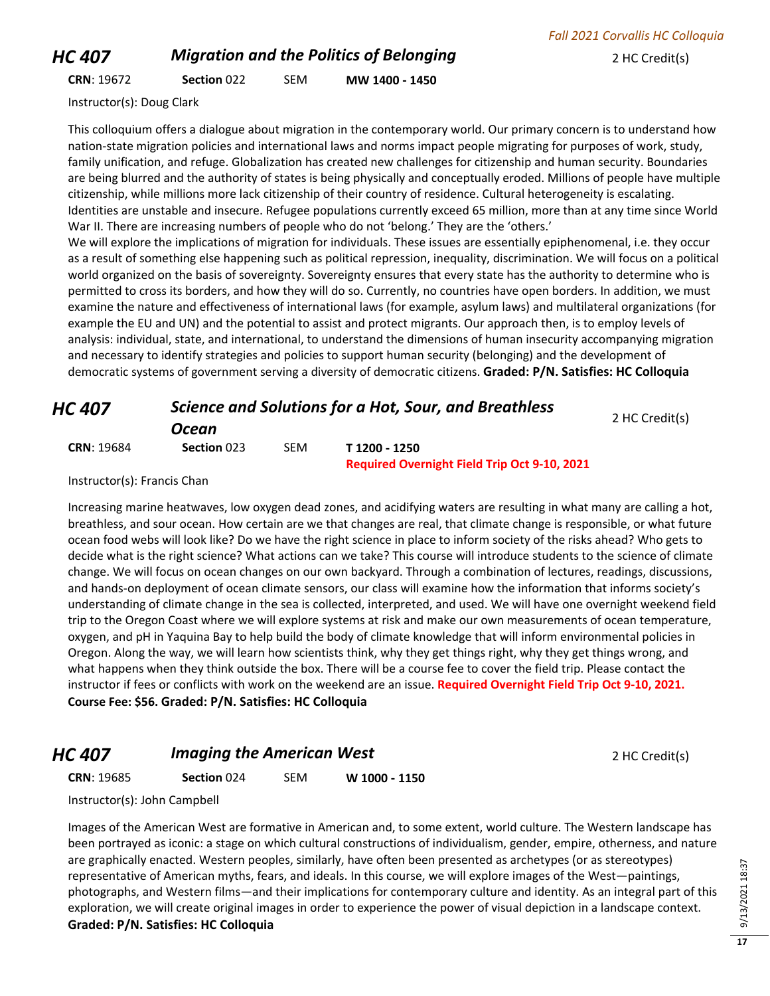## *HC 407 Migration and the Politics of Belonging* 2 HC Credit(s)

### **CRN**: 19672 **Section** 022 SEM **MW 1400 - 1450**

Instructor(s): Doug Clark

This colloquium offers a dialogue about migration in the contemporary world. Our primary concern is to understand how nation-state migration policies and international laws and norms impact people migrating for purposes of work, study, family unification, and refuge. Globalization has created new challenges for citizenship and human security. Boundaries are being blurred and the authority of states is being physically and conceptually eroded. Millions of people have multiple citizenship, while millions more lack citizenship of their country of residence. Cultural heterogeneity is escalating. Identities are unstable and insecure. Refugee populations currently exceed 65 million, more than at any time since World War II. There are increasing numbers of people who do not 'belong.' They are the 'others.'

We will explore the implications of migration for individuals. These issues are essentially epiphenomenal, i.e. they occur as a result of something else happening such as political repression, inequality, discrimination. We will focus on a political world organized on the basis of sovereignty. Sovereignty ensures that every state has the authority to determine who is permitted to cross its borders, and how they will do so. Currently, no countries have open borders. In addition, we must examine the nature and effectiveness of international laws (for example, asylum laws) and multilateral organizations (for example the EU and UN) and the potential to assist and protect migrants. Our approach then, is to employ levels of analysis: individual, state, and international, to understand the dimensions of human insecurity accompanying migration and necessary to identify strategies and policies to support human security (belonging) and the development of democratic systems of government serving a diversity of democratic citizens. **Graded: P/N. Satisfies: HC Colloquia**

| HC 407            | Science and Solutions for a Hot, Sour, and Breathless | 2 HC Credit(s) |                                                     |  |
|-------------------|-------------------------------------------------------|----------------|-----------------------------------------------------|--|
|                   | Ocean                                                 |                |                                                     |  |
| <b>CRN: 19684</b> | Section 023                                           | <b>SEM</b>     | T 1200 - 1250                                       |  |
|                   |                                                       |                | <b>Required Overnight Field Trip Oct 9-10, 2021</b> |  |

Instructor(s): Francis Chan

Increasing marine heatwaves, low oxygen dead zones, and acidifying waters are resulting in what many are calling a hot, breathless, and sour ocean. How certain are we that changes are real, that climate change is responsible, or what future ocean food webs will look like? Do we have the right science in place to inform society of the risks ahead? Who gets to decide what is the right science? What actions can we take? This course will introduce students to the science of climate change. We will focus on ocean changes on our own backyard. Through a combination of lectures, readings, discussions, and hands-on deployment of ocean climate sensors, our class will examine how the information that informs society's understanding of climate change in the sea is collected, interpreted, and used. We will have one overnight weekend field trip to the Oregon Coast where we will explore systems at risk and make our own measurements of ocean temperature, oxygen, and pH in Yaquina Bay to help build the body of climate knowledge that will inform environmental policies in Oregon. Along the way, we will learn how scientists think, why they get things right, why they get things wrong, and what happens when they think outside the box. There will be a course fee to cover the field trip. Please contact the instructor if fees or conflicts with work on the weekend are an issue. **Required Overnight Field Trip Oct 9-10, 2021. Course Fee: \$56. Graded: P/N. Satisfies: HC Colloquia**

### *HC 407* **Imaging the American West 2 HC Credit(s) 2 HC Credit(s)**

### **CRN**: 19685 **Section** 024 SEM **W 1000 - 1150**

Instructor(s): John Campbell

Images of the American West are formative in American and, to some extent, world culture. The Western landscape has been portrayed as iconic: a stage on which cultural constructions of individualism, gender, empire, otherness, and nature are graphically enacted. Western peoples, similarly, have often been presented as archetypes (or as stereotypes) representative of American myths, fears, and ideals. In this course, we will explore images of the West—paintings, photographs, and Western films—and their implications for contemporary culture and identity. As an integral part of this exploration, we will create original images in order to experience the power of visual depiction in a landscape context. **Graded: P/N. Satisfies: HC Colloquia**

9/13/2021 18:37 9/13/2021 18:37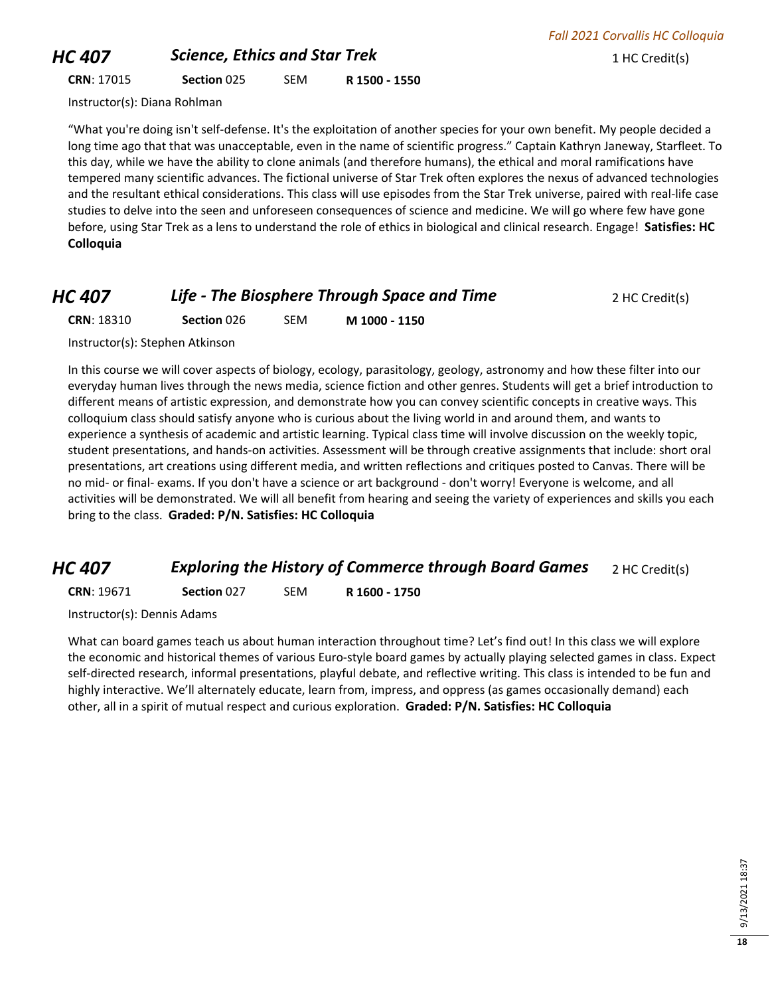## **HC 407 Science, Ethics and Star Trek** 1 HC Credit(s)

*Fall 2021 Corvallis HC Colloquia*

**CRN**: 17015 **Section** 025 SEM **R 1500 - 1550**

Instructor(s): Diana Rohlman

"What you're doing isn't self-defense. It's the exploitation of another species for your own benefit. My people decided a long time ago that that was unacceptable, even in the name of scientific progress." Captain Kathryn Janeway, Starfleet. To this day, while we have the ability to clone animals (and therefore humans), the ethical and moral ramifications have tempered many scientific advances. The fictional universe of Star Trek often explores the nexus of advanced technologies and the resultant ethical considerations. This class will use episodes from the Star Trek universe, paired with real-life case studies to delve into the seen and unforeseen consequences of science and medicine. We will go where few have gone before, using Star Trek as a lens to understand the role of ethics in biological and clinical research. Engage! **Satisfies: HC Colloquia**

### *HC 407* **Life - The Biosphere Through Space and Time** 2 HC Credit(s)

**CRN**: 18310 **Section** 026 SEM **M 1000 - 1150**

Instructor(s): Stephen Atkinson

In this course we will cover aspects of biology, ecology, parasitology, geology, astronomy and how these filter into our everyday human lives through the news media, science fiction and other genres. Students will get a brief introduction to different means of artistic expression, and demonstrate how you can convey scientific concepts in creative ways. This colloquium class should satisfy anyone who is curious about the living world in and around them, and wants to experience a synthesis of academic and artistic learning. Typical class time will involve discussion on the weekly topic, student presentations, and hands-on activities. Assessment will be through creative assignments that include: short oral presentations, art creations using different media, and written reflections and critiques posted to Canvas. There will be no mid- or final- exams. If you don't have a science or art background - don't worry! Everyone is welcome, and all activities will be demonstrated. We will all benefit from hearing and seeing the variety of experiences and skills you each bring to the class. **Graded: P/N. Satisfies: HC Colloquia**

### *HC 407* **Exploring the History of Commerce through Board Games** 2 HC Credit(s)

**CRN**: 19671 **Section** 027 SEM **R 1600 - 1750**

Instructor(s): Dennis Adams

What can board games teach us about human interaction throughout time? Let's find out! In this class we will explore the economic and historical themes of various Euro-style board games by actually playing selected games in class. Expect self-directed research, informal presentations, playful debate, and reflective writing. This class is intended to be fun and highly interactive. We'll alternately educate, learn from, impress, and oppress (as games occasionally demand) each other, all in a spirit of mutual respect and curious exploration. **Graded: P/N. Satisfies: HC Colloquia**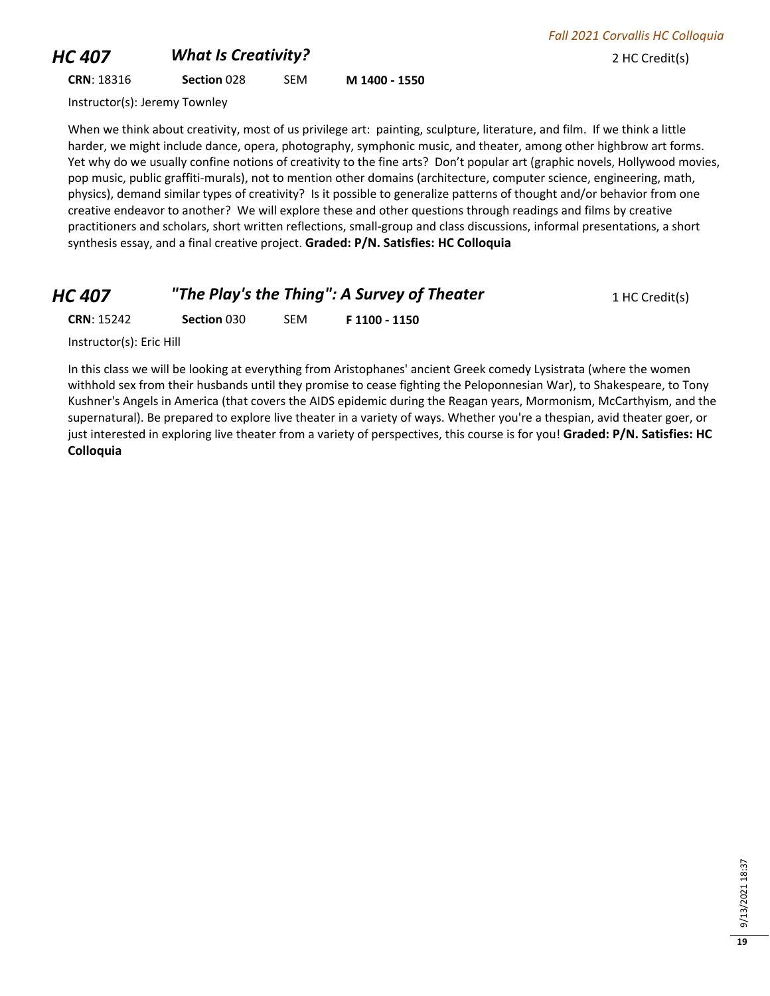## **HC 407** *What Is Creativity?* 2 HC Credit(s)

*Fall 2021 Corvallis HC Colloquia*

### **CRN**: 18316 **Section** 028 SEM **M 1400 - 1550**

Instructor(s): Jeremy Townley

When we think about creativity, most of us privilege art: painting, sculpture, literature, and film. If we think a little harder, we might include dance, opera, photography, symphonic music, and theater, among other highbrow art forms. Yet why do we usually confine notions of creativity to the fine arts? Don't popular art (graphic novels, Hollywood movies, pop music, public graffiti-murals), not to mention other domains (architecture, computer science, engineering, math, physics), demand similar types of creativity? Is it possible to generalize patterns of thought and/or behavior from one creative endeavor to another? We will explore these and other questions through readings and films by creative practitioners and scholars, short written reflections, small-group and class discussions, informal presentations, a short synthesis essay, and a final creative project. **Graded: P/N. Satisfies: HC Colloquia**

| HC 407 | "The Play's the Thing": A Survey of Theater | 1 HC Credit(s) |
|--------|---------------------------------------------|----------------|
|--------|---------------------------------------------|----------------|

**CRN**: 15242 **Section** 030 SEM **F 1100 - 1150**

Instructor(s): Eric Hill

In this class we will be looking at everything from Aristophanes' ancient Greek comedy Lysistrata (where the women withhold sex from their husbands until they promise to cease fighting the Peloponnesian War), to Shakespeare, to Tony Kushner's Angels in America (that covers the AIDS epidemic during the Reagan years, Mormonism, McCarthyism, and the supernatural). Be prepared to explore live theater in a variety of ways. Whether you're a thespian, avid theater goer, or just interested in exploring live theater from a variety of perspectives, this course is for you! **Graded: P/N. Satisfies: HC Colloquia**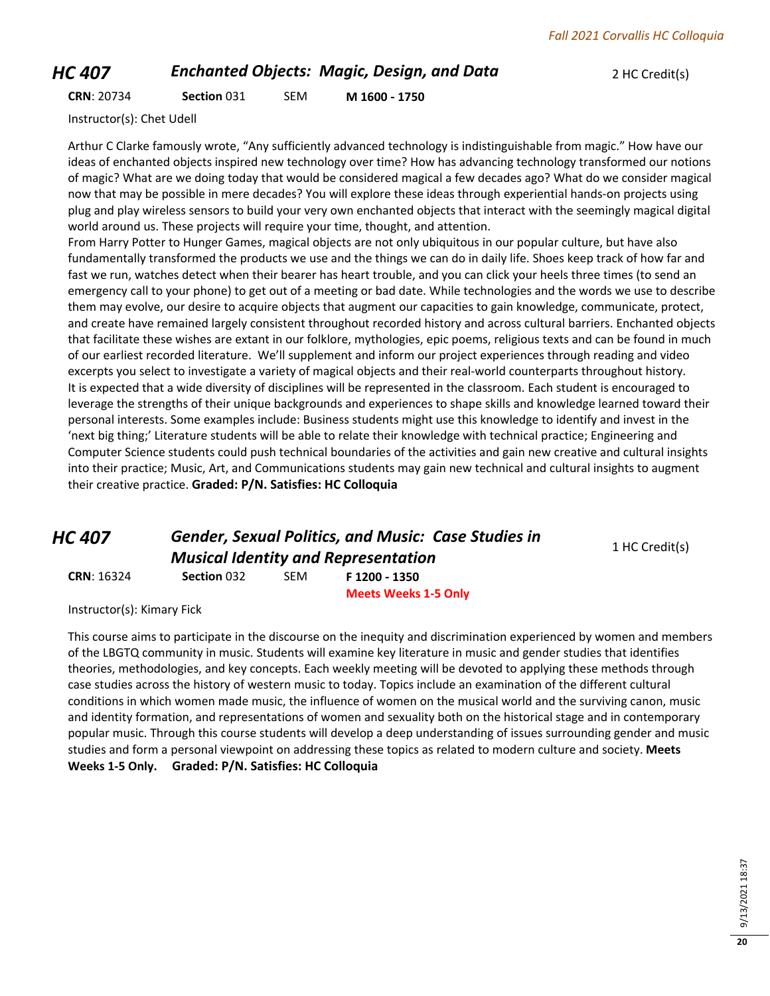### *HC 407* **Enchanted Objects: Magic, Design, and Data** 2 HC Credit(s)

**CRN**: 20734 **Section** 031 SEM **M 1600 - 1750**

Instructor(s): Chet Udell

Arthur C Clarke famously wrote, "Any sufficiently advanced technology is indistinguishable from magic." How have our ideas of enchanted objects inspired new technology over time? How has advancing technology transformed our notions of magic? What are we doing today that would be considered magical a few decades ago? What do we consider magical now that may be possible in mere decades? You will explore these ideas through experiential hands-on projects using plug and play wireless sensors to build your very own enchanted objects that interact with the seemingly magical digital world around us. These projects will require your time, thought, and attention.

From Harry Potter to Hunger Games, magical objects are not only ubiquitous in our popular culture, but have also fundamentally transformed the products we use and the things we can do in daily life. Shoes keep track of how far and fast we run, watches detect when their bearer has heart trouble, and you can click your heels three times (to send an emergency call to your phone) to get out of a meeting or bad date. While technologies and the words we use to describe them may evolve, our desire to acquire objects that augment our capacities to gain knowledge, communicate, protect, and create have remained largely consistent throughout recorded history and across cultural barriers. Enchanted objects that facilitate these wishes are extant in our folklore, mythologies, epic poems, religious texts and can be found in much of our earliest recorded literature. We'll supplement and inform our project experiences through reading and video excerpts you select to investigate a variety of magical objects and their real-world counterparts throughout history. It is expected that a wide diversity of disciplines will be represented in the classroom. Each student is encouraged to leverage the strengths of their unique backgrounds and experiences to shape skills and knowledge learned toward their personal interests. Some examples include: Business students might use this knowledge to identify and invest in the 'next big thing;' Literature students will be able to relate their knowledge with technical practice; Engineering and Computer Science students could push technical boundaries of the activities and gain new creative and cultural insights into their practice; Music, Art, and Communications students may gain new technical and cultural insights to augment their creative practice. **Graded: P/N. Satisfies: HC Colloquia**

*HC 407 Gender, Sexual Politics, and Music: Case Studies in Musical Identity and Representation* **CRN**: 16324 **Section** 032 SEM **F 1200 - 1350**

1 HC Credit(s)

**Meets Weeks 1-5 Only**

Instructor(s): Kimary Fick

This course aims to participate in the discourse on the inequity and discrimination experienced by women and members of the LBGTQ community in music. Students will examine key literature in music and gender studies that identifies theories, methodologies, and key concepts. Each weekly meeting will be devoted to applying these methods through case studies across the history of western music to today. Topics include an examination of the different cultural conditions in which women made music, the influence of women on the musical world and the surviving canon, music and identity formation, and representations of women and sexuality both on the historical stage and in contemporary popular music. Through this course students will develop a deep understanding of issues surrounding gender and music studies and form a personal viewpoint on addressing these topics as related to modern culture and society. **Meets Weeks 1-5 Only. Graded: P/N. Satisfies: HC Colloquia**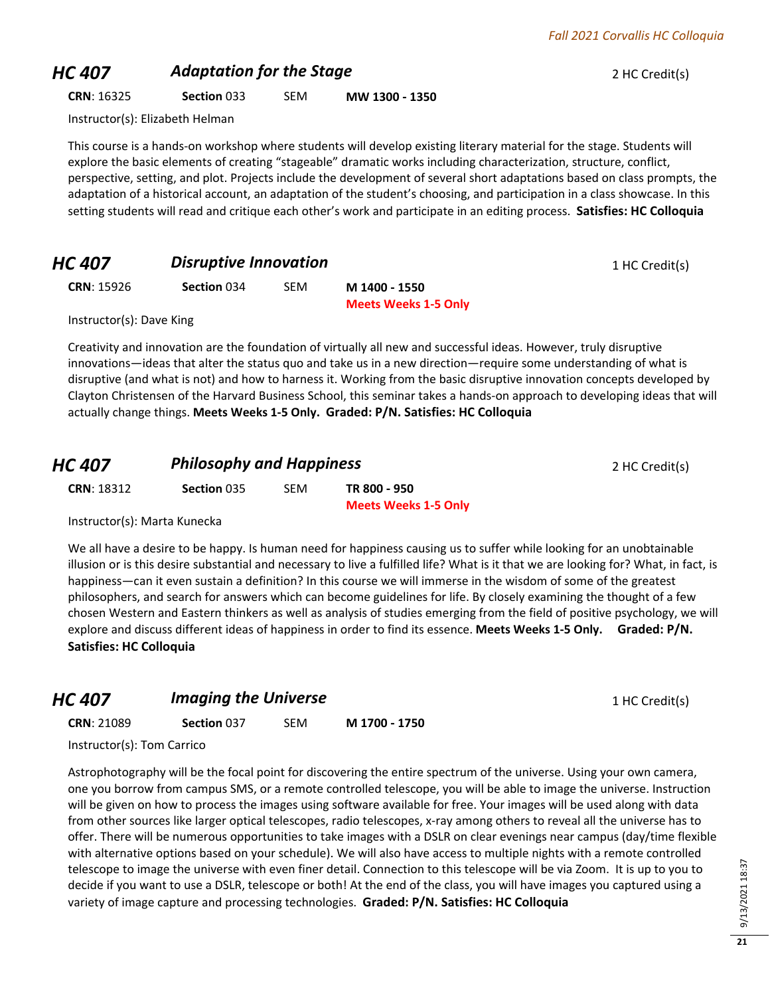## **HC 407 Adaptation for the Stage 2 HC Credit(s) 2 HC Credit(s)**

**CRN**: 16325 **Section** 033 SEM **MW 1300 - 1350**

Instructor(s): Elizabeth Helman

This course is a hands-on workshop where students will develop existing literary material for the stage. Students will explore the basic elements of creating "stageable" dramatic works including characterization, structure, conflict, perspective, setting, and plot. Projects include the development of several short adaptations based on class prompts, the adaptation of a historical account, an adaptation of the student's choosing, and participation in a class showcase. In this setting students will read and critique each other's work and participate in an editing process. **Satisfies: HC Colloquia**

## **HC 407 Disruptive Innovation 1 HC Credit(s)**

**CRN**: 15926 **Section** 034 SEM **M 1400 - 1550**

**Meets Weeks 1-5 Only**

Instructor(s): Dave King

Creativity and innovation are the foundation of virtually all new and successful ideas. However, truly disruptive innovations—ideas that alter the status quo and take us in a new direction—require some understanding of what is disruptive (and what is not) and how to harness it. Working from the basic disruptive innovation concepts developed by Clayton Christensen of the Harvard Business School, this seminar takes a hands-on approach to developing ideas that will actually change things. **Meets Weeks 1-5 Only. Graded: P/N. Satisfies: HC Colloquia**

## *HC 407* **Philosophy and Happiness 2 HC Credit(s)**

| <b>CRN: 18312</b> | Section 035 | SEM | TR 800 - 950                |
|-------------------|-------------|-----|-----------------------------|
|                   |             |     | <b>Meets Weeks 1-5 Only</b> |

Instructor(s): Marta Kunecka

We all have a desire to be happy. Is human need for happiness causing us to suffer while looking for an unobtainable illusion or is this desire substantial and necessary to live a fulfilled life? What is it that we are looking for? What, in fact, is happiness—can it even sustain a definition? In this course we will immerse in the wisdom of some of the greatest philosophers, and search for answers which can become guidelines for life. By closely examining the thought of a few chosen Western and Eastern thinkers as well as analysis of studies emerging from the field of positive psychology, we will explore and discuss different ideas of happiness in order to find its essence. **Meets Weeks 1-5 Only. Graded: P/N. Satisfies: HC Colloquia**

### **HC 407 Imaging the Universe 1 HC Credit(s) 1 HC Credit(s)**

**CRN**: 21089 **Section** 037 SEM **M 1700 - 1750**

Instructor(s): Tom Carrico

Astrophotography will be the focal point for discovering the entire spectrum of the universe. Using your own camera, one you borrow from campus SMS, or a remote controlled telescope, you will be able to image the universe. Instruction will be given on how to process the images using software available for free. Your images will be used along with data from other sources like larger optical telescopes, radio telescopes, x-ray among others to reveal all the universe has to offer. There will be numerous opportunities to take images with a DSLR on clear evenings near campus (day/time flexible with alternative options based on your schedule). We will also have access to multiple nights with a remote controlled telescope to image the universe with even finer detail. Connection to this telescope will be via Zoom. It is up to you to decide if you want to use a DSLR, telescope or both! At the end of the class, you will have images you captured using a variety of image capture and processing technologies. **Graded: P/N. Satisfies: HC Colloquia**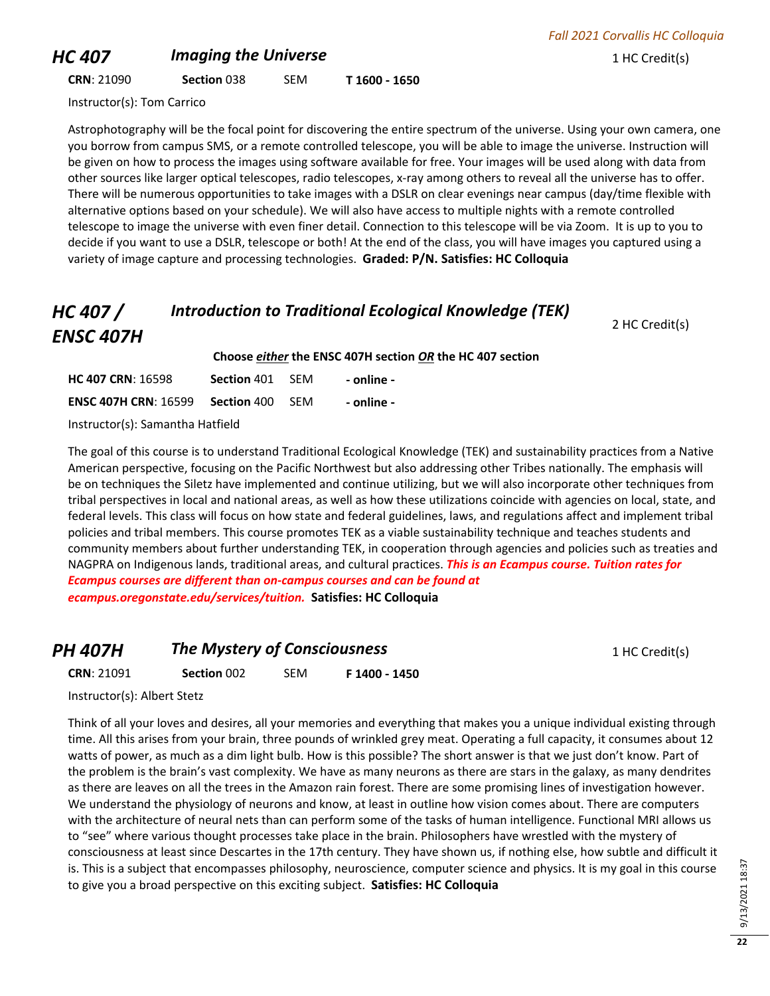## **HC 407 Imaging the Universe 1 HC Credit(s) 1 HC Credit(s)**

**CRN**: 21090 **Section** 038 SEM **T 1600 - 1650**

Instructor(s): Tom Carrico

Astrophotography will be the focal point for discovering the entire spectrum of the universe. Using your own camera, one you borrow from campus SMS, or a remote controlled telescope, you will be able to image the universe. Instruction will be given on how to process the images using software available for free. Your images will be used along with data from other sources like larger optical telescopes, radio telescopes, x-ray among others to reveal all the universe has to offer. There will be numerous opportunities to take images with a DSLR on clear evenings near campus (day/time flexible with alternative options based on your schedule). We will also have access to multiple nights with a remote controlled telescope to image the universe with even finer detail. Connection to this telescope will be via Zoom. It is up to you to decide if you want to use a DSLR, telescope or both! At the end of the class, you will have images you captured using a variety of image capture and processing technologies. **Graded: P/N. Satisfies: HC Colloquia**

### *HC 407 / ENSC 407H Introduction to Traditional Ecological Knowledge (TEK)*

**Choose** *either* **the ENSC 407H section** *OR* **the HC 407 section**

| <b>HC 407 CRN: 16598</b>           | Section 401 | -SFM  | - online - |  |  |
|------------------------------------|-------------|-------|------------|--|--|
| <b>ENSC 407H CRN: 16599</b>        | Section 400 | - SFM | - online - |  |  |
| $l$ atsuatas(a): Camantha Uatfiald |             |       |            |  |  |

Instructor(s): Samantha Hatfield

The goal of this course is to understand Traditional Ecological Knowledge (TEK) and sustainability practices from a Native American perspective, focusing on the Pacific Northwest but also addressing other Tribes nationally. The emphasis will be on techniques the Siletz have implemented and continue utilizing, but we will also incorporate other techniques from tribal perspectives in local and national areas, as well as how these utilizations coincide with agencies on local, state, and federal levels. This class will focus on how state and federal guidelines, laws, and regulations affect and implement tribal policies and tribal members. This course promotes TEK as a viable sustainability technique and teaches students and community members about further understanding TEK, in cooperation through agencies and policies such as treaties and NAGPRA on Indigenous lands, traditional areas, and cultural practices. *This is an Ecampus course. Tuition rates for Ecampus courses are different than on-campus courses and can be found at ecampus.oregonstate.edu/services/tuition.* **Satisfies: HC Colloquia**

### **PH 407H The Mystery of Consciousness** 1 HC Credit(s) **CRN**: 21091 **Section** 002 SEM **F 1400 - 1450**

Instructor(s): Albert Stetz

Think of all your loves and desires, all your memories and everything that makes you a unique individual existing through time. All this arises from your brain, three pounds of wrinkled grey meat. Operating a full capacity, it consumes about 12 watts of power, as much as a dim light bulb. How is this possible? The short answer is that we just don't know. Part of the problem is the brain's vast complexity. We have as many neurons as there are stars in the galaxy, as many dendrites as there are leaves on all the trees in the Amazon rain forest. There are some promising lines of investigation however. We understand the physiology of neurons and know, at least in outline how vision comes about. There are computers with the architecture of neural nets than can perform some of the tasks of human intelligence. Functional MRI allows us to "see" where various thought processes take place in the brain. Philosophers have wrestled with the mystery of consciousness at least since Descartes in the 17th century. They have shown us, if nothing else, how subtle and difficult it is. This is a subject that encompasses philosophy, neuroscience, computer science and physics. It is my goal in this course to give you a broad perspective on this exciting subject. **Satisfies: HC Colloquia**

9/13/2021 18:37 9/13/2021 18:37

2 HC Credit(s)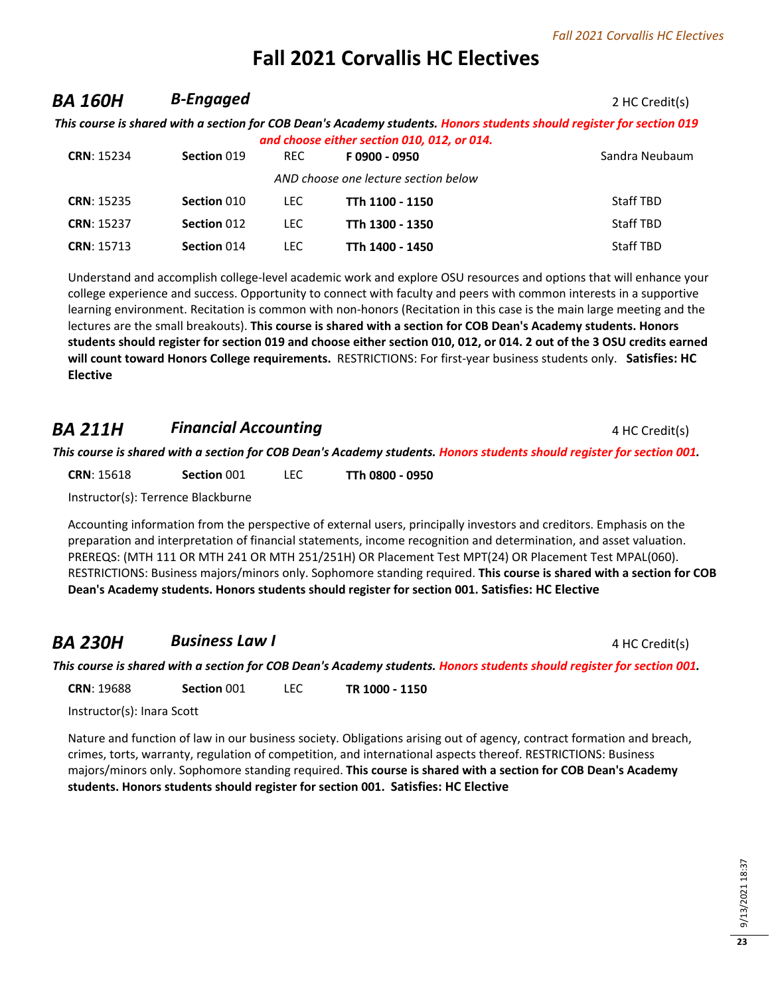## **BA 160H B-Engaged** 2 HC Credit(s)

*This course is shared with a section for COB Dean's Academy students. Honors students should register for section 019 and choose either section 010, 012, or 014.*

| <b>CRN: 15234</b> | Section 019 | REC. | F0900 - 0950                         | Sandra Neubaum |
|-------------------|-------------|------|--------------------------------------|----------------|
|                   |             |      | AND choose one lecture section below |                |
| <b>CRN: 15235</b> | Section 010 | LEC. | TTh 1100 - 1150                      | Staff TBD      |
| <b>CRN: 15237</b> | Section 012 | LEC. | TTh 1300 - 1350                      | Staff TBD      |
| <b>CRN: 15713</b> | Section 014 | LEC. | TTh 1400 - 1450                      | Staff TBD      |

Understand and accomplish college-level academic work and explore OSU resources and options that will enhance your college experience and success. Opportunity to connect with faculty and peers with common interests in a supportive learning environment. Recitation is common with non-honors (Recitation in this case is the main large meeting and the lectures are the small breakouts). **This course is shared with a section for COB Dean's Academy students. Honors students should register for section 019 and choose either section 010, 012, or 014. 2 out of the 3 OSU credits earned will count toward Honors College requirements.** RESTRICTIONS: For first-year business students only. **Satisfies: HC Elective**

### **BA 211H Financial Accounting Example 2011** *Financial Accounting* 4 HC Credit(s)

*This course is shared with a section for COB Dean's Academy students. Honors students should register for section 001.*

**CRN**: 15618 **Section** 001 LEC **TTh 0800 - 0950**

Instructor(s): Terrence Blackburne

Accounting information from the perspective of external users, principally investors and creditors. Emphasis on the preparation and interpretation of financial statements, income recognition and determination, and asset valuation. PREREQS: (MTH 111 OR MTH 241 OR MTH 251/251H) OR Placement Test MPT(24) OR Placement Test MPAL(060). RESTRICTIONS: Business majors/minors only. Sophomore standing required. **This course is shared with a section for COB Dean's Academy students. Honors students should register for section 001. Satisfies: HC Elective**

## **BA 230H Business Law I BA 230H Business Law I A ALC Credit(s)**

*This course is shared with a section for COB Dean's Academy students. Honors students should register for section 001.*

**CRN**: 19688 **Section** 001 LEC **TR 1000 - 1150**

Instructor(s): Inara Scott

Nature and function of law in our business society. Obligations arising out of agency, contract formation and breach, crimes, torts, warranty, regulation of competition, and international aspects thereof. RESTRICTIONS: Business majors/minors only. Sophomore standing required. **This course is shared with a section for COB Dean's Academy students. Honors students should register for section 001. Satisfies: HC Elective**

**23**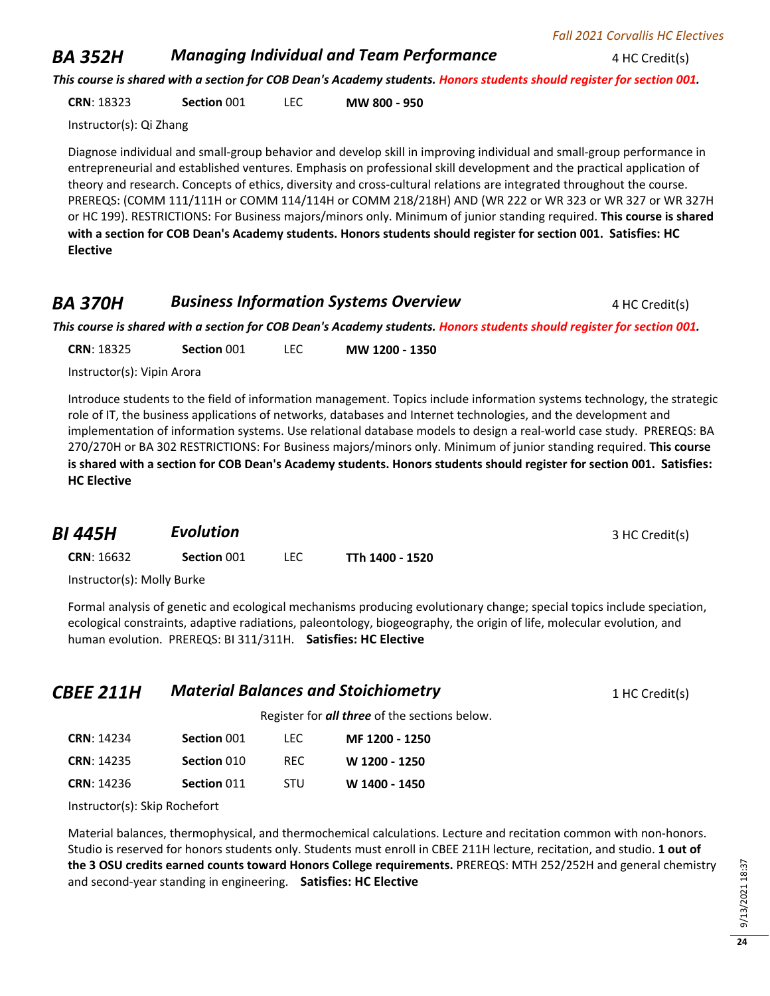### **BA 352H** *Managing Individual and Team Performance* 4 HC Credit(s)

*This course is shared with a section for COB Dean's Academy students. Honors students should register for section 001.*

**CRN**: 18323 **Section** 001 LEC **MW 800 - 950**

Instructor(s): Qi Zhang

Diagnose individual and small-group behavior and develop skill in improving individual and small-group performance in entrepreneurial and established ventures. Emphasis on professional skill development and the practical application of theory and research. Concepts of ethics, diversity and cross-cultural relations are integrated throughout the course. PREREQS: (COMM 111/111H or COMM 114/114H or COMM 218/218H) AND (WR 222 or WR 323 or WR 327 or WR 327H or HC 199). RESTRICTIONS: For Business majors/minors only. Minimum of junior standing required. **This course is shared with a section for COB Dean's Academy students. Honors students should register for section 001. Satisfies: HC Elective**

### **BA 370H Business Information Systems Overview** 4 HC Credit(s)

*This course is shared with a section for COB Dean's Academy students. Honors students should register for section 001.*

**CRN**: 18325 **Section** 001 LEC **MW 1200 - 1350**

Instructor(s): Vipin Arora

Introduce students to the field of information management. Topics include information systems technology, the strategic role of IT, the business applications of networks, databases and Internet technologies, and the development and implementation of information systems. Use relational database models to design a real-world case study. PREREQS: BA 270/270H or BA 302 RESTRICTIONS: For Business majors/minors only. Minimum of junior standing required. **This course is shared with a section for COB Dean's Academy students. Honors students should register for section 001. Satisfies: HC Elective**

| <b>BI 445H</b>             | <b>Evolution</b> |      |                 | 3 HC Credit(s) |
|----------------------------|------------------|------|-----------------|----------------|
| <b>CRN: 16632</b>          | Section 001      | LEC. | TTh 1400 - 1520 |                |
| Instructor(s): Molly Burke |                  |      |                 |                |

Formal analysis of genetic and ecological mechanisms producing evolutionary change; special topics include speciation, ecological constraints, adaptive radiations, paleontology, biogeography, the origin of life, molecular evolution, and human evolution. PREREQS: BI 311/311H. **Satisfies: HC Elective**

| <b>CBEE 211H</b> | <b>Material Balances and Stoichiometry</b> | 1 HC Credit(s) |
|------------------|--------------------------------------------|----------------|
|------------------|--------------------------------------------|----------------|

Register for *all three* of the sections below.

| <b>CRN: 14234</b> | Section 001 | TEC.       | MF 1200 - 1250 |
|-------------------|-------------|------------|----------------|
| <b>CRN: 14235</b> | Section 010 | RFC.       | W 1200 - 1250  |
| <b>CRN: 14236</b> | Section 011 | <b>STU</b> | W 1400 - 1450  |

Instructor(s): Skip Rochefort

Material balances, thermophysical, and thermochemical calculations. Lecture and recitation common with non-honors. Studio is reserved for honors students only. Students must enroll in CBEE 211H lecture, recitation, and studio. **1 out of the 3 OSU credits earned counts toward Honors College requirements.** PREREQS: MTH 252/252H and general chemistry and second-year standing in engineering. **Satisfies: HC Elective**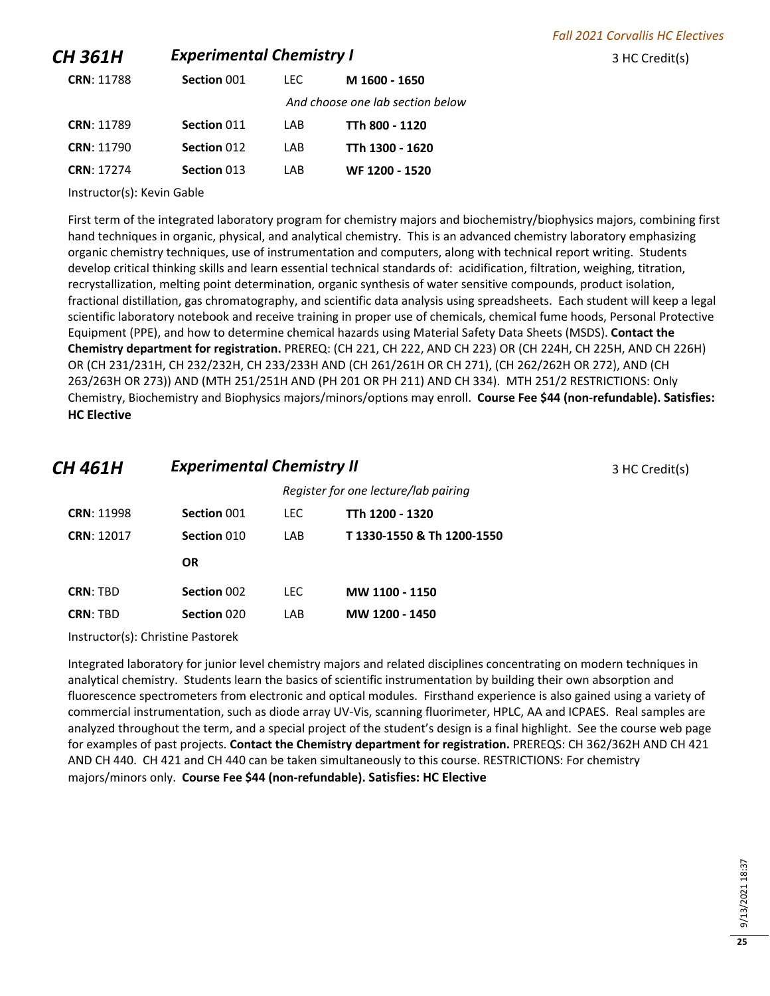### **CH 361H Experimental Chemistry I CH 361H Experimental Chemistry I** 3 HC Credit(s)

| <b>CRN: 11788</b> | Section 001 | TEC. | M 1600 - 1650                    |
|-------------------|-------------|------|----------------------------------|
|                   |             |      | And choose one lab section below |
| <b>CRN: 11789</b> | Section 011 | I AB | TTh 800 - 1120                   |
| <b>CRN: 11790</b> | Section 012 | I AB | TTh 1300 - 1620                  |
| <b>CRN: 17274</b> | Section 013 | I AR | WF 1200 - 1520                   |

Instructor(s): Kevin Gable

First term of the integrated laboratory program for chemistry majors and biochemistry/biophysics majors, combining first hand techniques in organic, physical, and analytical chemistry. This is an advanced chemistry laboratory emphasizing organic chemistry techniques, use of instrumentation and computers, along with technical report writing. Students develop critical thinking skills and learn essential technical standards of: acidification, filtration, weighing, titration, recrystallization, melting point determination, organic synthesis of water sensitive compounds, product isolation, fractional distillation, gas chromatography, and scientific data analysis using spreadsheets. Each student will keep a legal scientific laboratory notebook and receive training in proper use of chemicals, chemical fume hoods, Personal Protective Equipment (PPE), and how to determine chemical hazards using Material Safety Data Sheets (MSDS). **Contact the Chemistry department for registration.** PREREQ: (CH 221, CH 222, AND CH 223) OR (CH 224H, CH 225H, AND CH 226H) OR (CH 231/231H, CH 232/232H, CH 233/233H AND (CH 261/261H OR CH 271), (CH 262/262H OR 272), AND (CH 263/263H OR 273)) AND (MTH 251/251H AND (PH 201 OR PH 211) AND CH 334). MTH 251/2 RESTRICTIONS: Only Chemistry, Biochemistry and Biophysics majors/minors/options may enroll. **Course Fee \$44 (non-refundable). Satisfies: HC Elective**

# **CH 461H Experimental Chemistry II CH 461H 3 HC Credit(s)**

|                   |             | Register for one lecture/lab pairing |                          |  |
|-------------------|-------------|--------------------------------------|--------------------------|--|
| <b>CRN: 11998</b> | Section 001 | LEC.                                 | TTh 1200 - 1320          |  |
| <b>CRN: 12017</b> | Section 010 | I AB                                 | T1330-1550 & Th1200-1550 |  |
|                   | <b>OR</b>   |                                      |                          |  |
| <b>CRN: TBD</b>   | Section 002 | LEC.                                 | MW 1100 - 1150           |  |
| <b>CRN: TRD</b>   | Section 020 | I AB                                 | MW 1200 - 1450           |  |
|                   |             |                                      |                          |  |

Instructor(s): Christine Pastorek

Integrated laboratory for junior level chemistry majors and related disciplines concentrating on modern techniques in analytical chemistry. Students learn the basics of scientific instrumentation by building their own absorption and fluorescence spectrometers from electronic and optical modules. Firsthand experience is also gained using a variety of commercial instrumentation, such as diode array UV-Vis, scanning fluorimeter, HPLC, AA and ICPAES. Real samples are analyzed throughout the term, and a special project of the student's design is a final highlight. See the course web page for examples of past projects. **Contact the Chemistry department for registration.** PREREQS: CH 362/362H AND CH 421 AND CH 440. CH 421 and CH 440 can be taken simultaneously to this course. RESTRICTIONS: For chemistry majors/minors only. **Course Fee \$44 (non-refundable). Satisfies: HC Elective**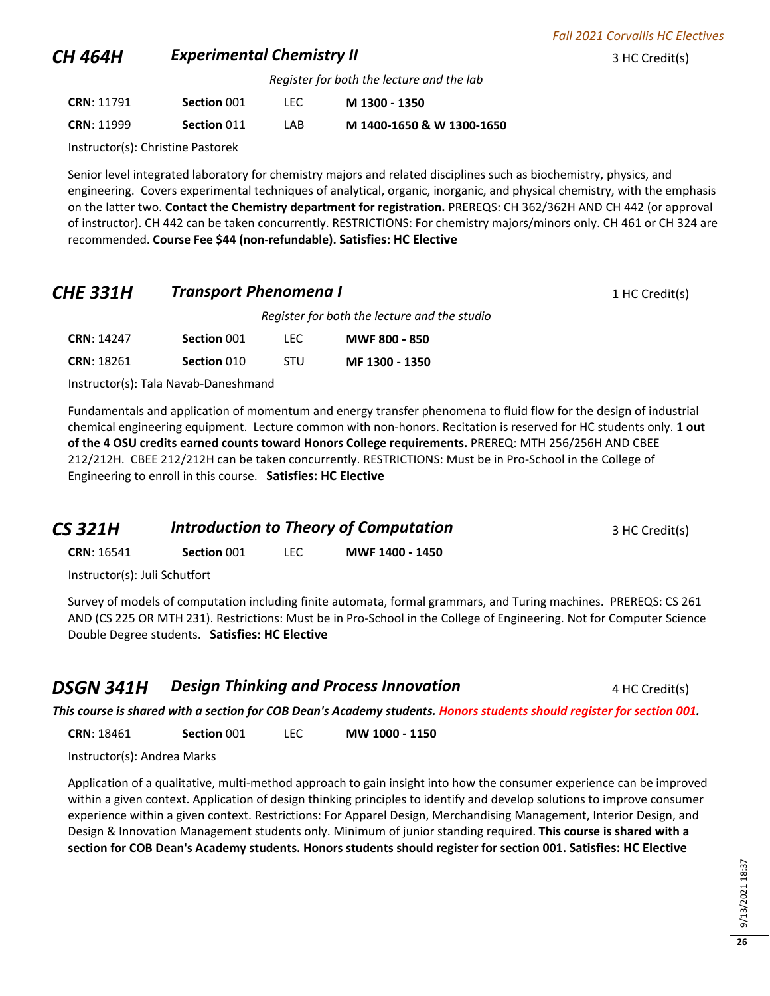### **CH 464H Experimental Chemistry II CH 464H Experimental Chemistry II 1 Experimental Chemistry II**

*Register for both the lecture and the lab*

| <b>CRN: 11791</b> | Section 001 | TEC. | M 1300 - 1350             |
|-------------------|-------------|------|---------------------------|
| <b>CRN: 11999</b> | Section 011 | I AB | M 1400-1650 & W 1300-1650 |

Instructor(s): Christine Pastorek

Senior level integrated laboratory for chemistry majors and related disciplines such as biochemistry, physics, and engineering. Covers experimental techniques of analytical, organic, inorganic, and physical chemistry, with the emphasis on the latter two. **Contact the Chemistry department for registration.** PREREQS: CH 362/362H AND CH 442 (or approval of instructor). CH 442 can be taken concurrently. RESTRICTIONS: For chemistry majors/minors only. CH 461 or CH 324 are recommended. **Course Fee \$44 (non-refundable). Satisfies: HC Elective**

### **CHE 331H •• Transport Phenomena I** 1 **HC Credit(s)** 1 HC Credit(s)

*Register for both the lecture and the studio*

| <b>CRN: 14247</b> | Section 001 | LEC.       | <b>MWF 800 - 850</b> |
|-------------------|-------------|------------|----------------------|
| <b>CRN: 18261</b> | Section 010 | <b>STU</b> | MF 1300 - 1350       |

Instructor(s): Tala Navab-Daneshmand

Fundamentals and application of momentum and energy transfer phenomena to fluid flow for the design of industrial chemical engineering equipment. Lecture common with non-honors. Recitation is reserved for HC students only. **1 out of the 4 OSU credits earned counts toward Honors College requirements.** PREREQ: MTH 256/256H AND CBEE 212/212H. CBEE 212/212H can be taken concurrently. RESTRICTIONS: Must be in Pro-School in the College of Engineering to enroll in this course. **Satisfies: HC Elective**

| <b>CS 321H</b> | <b>Introduction to Theory of Computation</b> | 3 HC Credit(s) |
|----------------|----------------------------------------------|----------------|
|                |                                              |                |

**CRN**: 16541 **Section** 001 LEC **MWF 1400 - 1450**

Instructor(s): Juli Schutfort

Survey of models of computation including finite automata, formal grammars, and Turing machines. PREREQS: CS 261 AND (CS 225 OR MTH 231). Restrictions: Must be in Pro-School in the College of Engineering. Not for Computer Science Double Degree students. **Satisfies: HC Elective**

### **DSGN 341H Design Thinking and Process Innovation** 4 HC Credit(s)

*This course is shared with a section for COB Dean's Academy students. Honors students should register for section 001.*

**CRN**: 18461 **Section** 001 LEC **MW 1000 - 1150**

Instructor(s): Andrea Marks

Application of a qualitative, multi-method approach to gain insight into how the consumer experience can be improved within a given context. Application of design thinking principles to identify and develop solutions to improve consumer experience within a given context. Restrictions: For Apparel Design, Merchandising Management, Interior Design, and Design & Innovation Management students only. Minimum of junior standing required. **This course is shared with a section for COB Dean's Academy students. Honors students should register for section 001. Satisfies: HC Elective**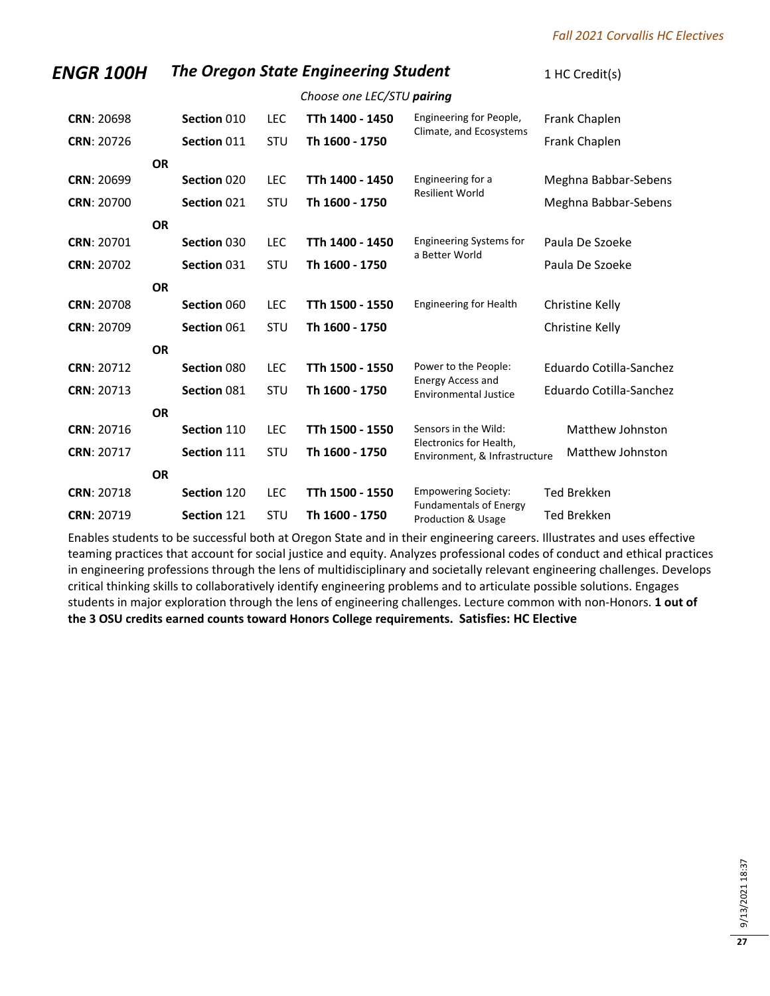### *ENGR 100H* The Oregon State Engineering Student 1 HC Credit(s)

|                   |           |             |            | Choose one LEC/STU <b>pairing</b> |                                                          |                         |
|-------------------|-----------|-------------|------------|-----------------------------------|----------------------------------------------------------|-------------------------|
| <b>CRN: 20698</b> |           | Section 010 | <b>LEC</b> | TTh 1400 - 1450                   | Engineering for People,                                  | Frank Chaplen           |
| <b>CRN: 20726</b> |           | Section 011 | <b>STU</b> | Th 1600 - 1750                    | Climate, and Ecosystems                                  | Frank Chaplen           |
|                   | <b>OR</b> |             |            |                                   |                                                          |                         |
| <b>CRN: 20699</b> |           | Section 020 | <b>LEC</b> | TTh 1400 - 1450                   | Engineering for a                                        | Meghna Babbar-Sebens    |
| CRN: 20700        |           | Section 021 | STU        | Th 1600 - 1750                    | <b>Resilient World</b>                                   | Meghna Babbar-Sebens    |
|                   | <b>OR</b> |             |            |                                   |                                                          |                         |
| <b>CRN: 20701</b> |           | Section 030 | <b>LEC</b> | TTh 1400 - 1450                   | <b>Engineering Systems for</b>                           | Paula De Szoeke         |
| <b>CRN: 20702</b> |           | Section 031 | <b>STU</b> | Th 1600 - 1750                    | a Better World                                           | Paula De Szoeke         |
|                   | <b>OR</b> |             |            |                                   |                                                          |                         |
| <b>CRN: 20708</b> |           | Section 060 | LEC        | TTh 1500 - 1550                   | <b>Engineering for Health</b>                            | Christine Kelly         |
| <b>CRN: 20709</b> |           | Section 061 | <b>STU</b> | Th 1600 - 1750                    |                                                          | Christine Kelly         |
|                   | <b>OR</b> |             |            |                                   |                                                          |                         |
| <b>CRN: 20712</b> |           | Section 080 | <b>LEC</b> | TTh 1500 - 1550                   | Power to the People:                                     | Eduardo Cotilla-Sanchez |
| <b>CRN: 20713</b> |           | Section 081 | STU        | Th 1600 - 1750                    | <b>Energy Access and</b><br><b>Environmental Justice</b> | Eduardo Cotilla-Sanchez |
|                   | <b>OR</b> |             |            |                                   |                                                          |                         |
| <b>CRN: 20716</b> |           | Section 110 | LEC        | TTh 1500 - 1550                   | Sensors in the Wild:                                     | Matthew Johnston        |
| CRN: 20717        |           | Section 111 | STU        | Th 1600 - 1750                    | Electronics for Health,<br>Environment, & Infrastructure | Matthew Johnston        |
|                   | <b>OR</b> |             |            |                                   |                                                          |                         |
| <b>CRN: 20718</b> |           | Section 120 | <b>LEC</b> | TTh 1500 - 1550                   | <b>Empowering Society:</b>                               | <b>Ted Brekken</b>      |
| CRN: 20719        |           | Section 121 | <b>STU</b> | Th 1600 - 1750                    | <b>Fundamentals of Energy</b><br>Production & Usage      | Ted Brekken             |

Enables students to be successful both at Oregon State and in their engineering careers. Illustrates and uses effective teaming practices that account for social justice and equity. Analyzes professional codes of conduct and ethical practices in engineering professions through the lens of multidisciplinary and societally relevant engineering challenges. Develops critical thinking skills to collaboratively identify engineering problems and to articulate possible solutions. Engages students in major exploration through the lens of engineering challenges. Lecture common with non-Honors. **1 out of the 3 OSU credits earned counts toward Honors College requirements. Satisfies: HC Elective**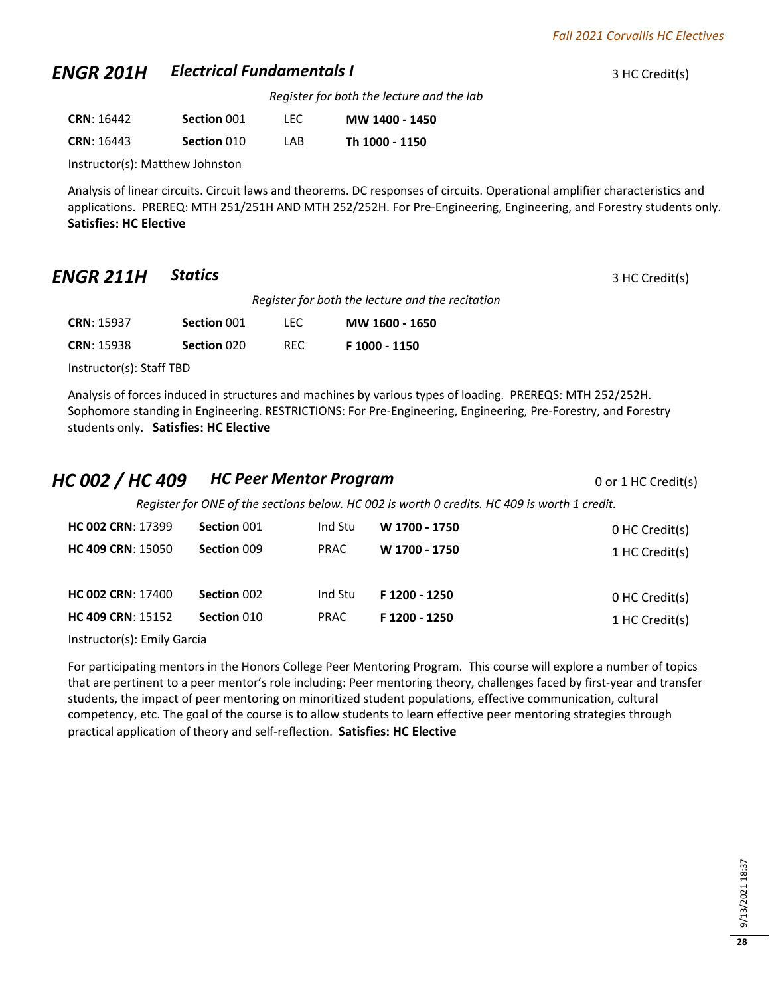### *ENGR 201H* **Electrical Fundamentals I 3 HC Credit(s)** 3 HC Credit(s)

*Register for both the lecture and the lab*

| <b>CRN: 16442</b> | Section 001 | LEC  | MW 1400 - 1450 |
|-------------------|-------------|------|----------------|
| <b>CRN: 16443</b> | Section 010 | I AB | Th 1000 - 1150 |

Instructor(s): Matthew Johnston

Analysis of linear circuits. Circuit laws and theorems. DC responses of circuits. Operational amplifier characteristics and applications. PREREQ: MTH 251/251H AND MTH 252/252H. For Pre-Engineering, Engineering, and Forestry students only. **Satisfies: HC Elective**

### *ENGR 211H* **Statics** 3 HC Credit(s)

*Register for both the lecture and the recitation*

| <b>CRN: 15937</b> | Section 001 | TEC.       | MW 1600 - 1650 |
|-------------------|-------------|------------|----------------|
| <b>CRN: 15938</b> | Section 020 | <b>REC</b> | F 1000 - 1150  |

Instructor(s): Staff TBD

Analysis of forces induced in structures and machines by various types of loading. PREREQS: MTH 252/252H. Sophomore standing in Engineering. RESTRICTIONS: For Pre-Engineering, Engineering, Pre-Forestry, and Forestry students only. **Satisfies: HC Elective**

### *HC 002 / HC 409 HC Peer Mentor Program* <sup>0</sup> or 1 HC Credit(s)

*Register for ONE of the sections below. HC 002 is worth 0 credits. HC 409 is worth 1 credit.*

| <b>HC 002 CRN: 17399</b> | Section 001 | Ind Stu     | W 1700 - 1750 | 0 HC Credit(s) |
|--------------------------|-------------|-------------|---------------|----------------|
| <b>HC 409 CRN: 15050</b> | Section 009 | <b>PRAC</b> | W 1700 - 1750 | 1 HC Credit(s) |
| <b>HC 002 CRN: 17400</b> | Section 002 | Ind Stu     | F 1200 - 1250 | 0 HC Credit(s) |
| <b>HC 409 CRN: 15152</b> | Section 010 | <b>PRAC</b> | F 1200 - 1250 | 1 HC Credit(s) |

Instructor(s): Emily Garcia

For participating mentors in the Honors College Peer Mentoring Program. This course will explore a number of topics that are pertinent to a peer mentor's role including: Peer mentoring theory, challenges faced by first-year and transfer students, the impact of peer mentoring on minoritized student populations, effective communication, cultural competency, etc. The goal of the course is to allow students to learn effective peer mentoring strategies through practical application of theory and self-reflection. **Satisfies: HC Elective**

**28**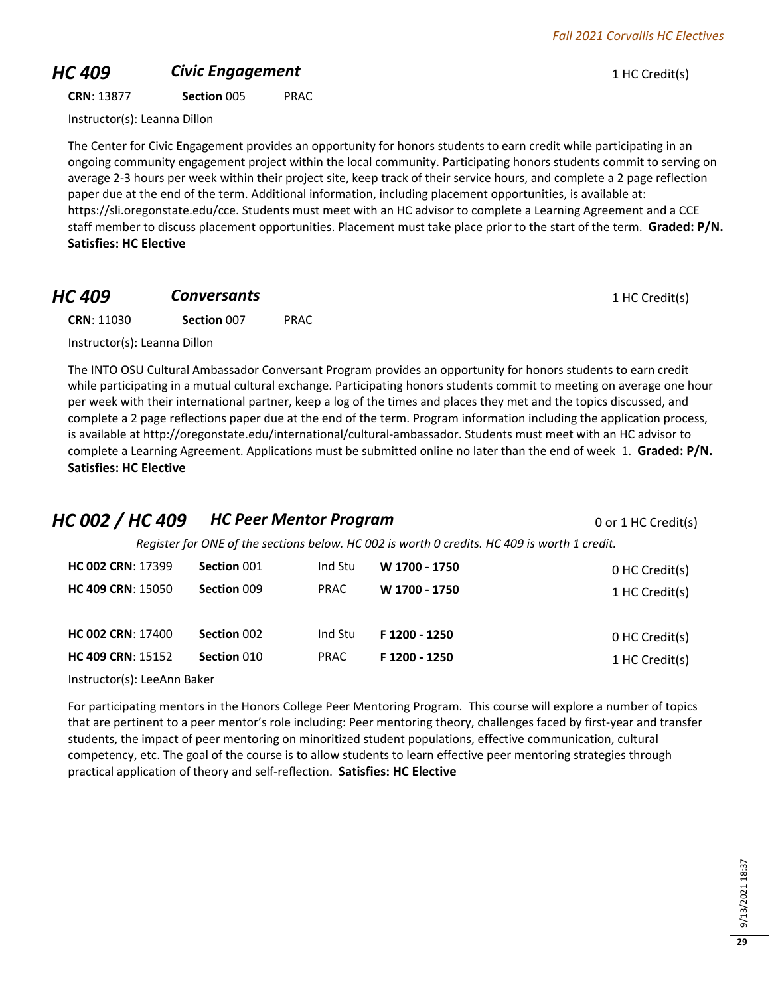### **HC 409 Civic Engagement Civic Engagement** 1 HC Credit(s)

### **CRN**: 13877 **Section** 005 PRAC

Instructor(s): Leanna Dillon

The Center for Civic Engagement provides an opportunity for honors students to earn credit while participating in an ongoing community engagement project within the local community. Participating honors students commit to serving on average 2-3 hours per week within their project site, keep track of their service hours, and complete a 2 page reflection paper due at the end of the term. Additional information, including placement opportunities, is available at: https://sli.oregonstate.edu/cce. Students must meet with an HC advisor to complete a Learning Agreement and a CCE staff member to discuss placement opportunities. Placement must take place prior to the start of the term. **Graded: P/N. Satisfies: HC Elective**

**HC 409 Conversants Conversants 1** HC Credit(s)

**CRN**: 11030 **Section** 007 PRAC

Instructor(s): Leanna Dillon

The INTO OSU Cultural Ambassador Conversant Program provides an opportunity for honors students to earn credit while participating in a mutual cultural exchange. Participating honors students commit to meeting on average one hour per week with their international partner, keep a log of the times and places they met and the topics discussed, and complete a 2 page reflections paper due at the end of the term. Program information including the application process, is available at http://oregonstate.edu/international/cultural-ambassador. Students must meet with an HC advisor to complete a Learning Agreement. Applications must be submitted online no later than the end of week 1. **Graded: P/N. Satisfies: HC Elective**

### *HC 002 / HC 409 HC Peer Mentor Program* <sup>0</sup> or 1 HC Credit(s)

*Register for ONE of the sections below. HC 002 is worth 0 credits. HC 409 is worth 1 credit.*

| <b>HC 002 CRN: 17399</b> | Section 001 | Ind Stu | W 1700 - 1750 | 0 HC Credit(s) |
|--------------------------|-------------|---------|---------------|----------------|
| <b>HC 409 CRN: 15050</b> | Section 009 | PRAC    | W 1700 - 1750 | 1 HC Credit(s) |
| <b>HC 002 CRN: 17400</b> | Section 002 | Ind Stu | F 1200 - 1250 | 0 HC Credit(s) |
| <b>HC 409 CRN: 15152</b> | Section 010 | PRAC    | F 1200 - 1250 | 1 HC Credit(s) |

Instructor(s): LeeAnn Baker

For participating mentors in the Honors College Peer Mentoring Program. This course will explore a number of topics that are pertinent to a peer mentor's role including: Peer mentoring theory, challenges faced by first-year and transfer students, the impact of peer mentoring on minoritized student populations, effective communication, cultural competency, etc. The goal of the course is to allow students to learn effective peer mentoring strategies through practical application of theory and self-reflection. **Satisfies: HC Elective**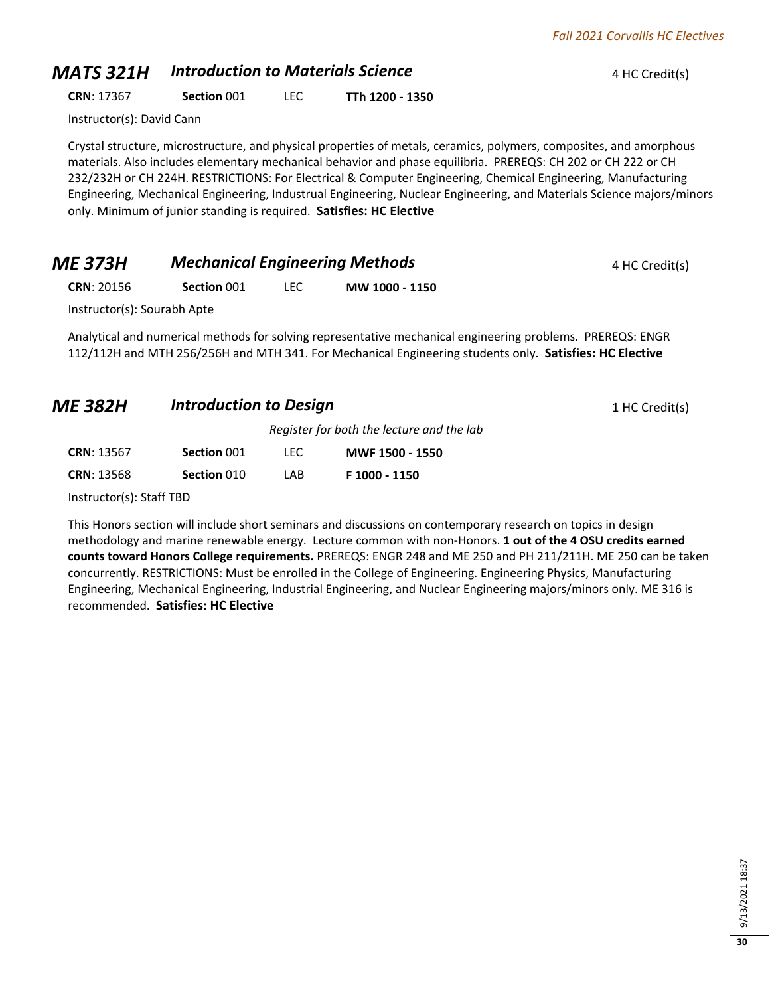### *MATS 321H Introduction to Materials Science* 4 HC Credit(s)

**CRN**: 17367 **Section** 001 LEC **TTh 1200 - 1350**

Instructor(s): David Cann

Crystal structure, microstructure, and physical properties of metals, ceramics, polymers, composites, and amorphous materials. Also includes elementary mechanical behavior and phase equilibria. PREREQS: CH 202 or CH 222 or CH 232/232H or CH 224H. RESTRICTIONS: For Electrical & Computer Engineering, Chemical Engineering, Manufacturing Engineering, Mechanical Engineering, Industrual Engineering, Nuclear Engineering, and Materials Science majors/minors only. Minimum of junior standing is required. **Satisfies: HC Elective**

| <b>ME 373H</b>              | <b>Mechanical Engineering Methods</b> |      |                                                                                                            | 4 HC Credit(s) |
|-----------------------------|---------------------------------------|------|------------------------------------------------------------------------------------------------------------|----------------|
| <b>CRN: 20156</b>           | Section 001                           | LEC. | MW 1000 - 1150                                                                                             |                |
| Instructor(s): Sourabh Apte |                                       |      |                                                                                                            |                |
|                             |                                       |      | Analytical and numerical methods for solving representative mechanical engineering problems. PREREQS: ENGR |                |

Analytical and numerical methods for solving representative mechanical engineering problems. PREREQS: ENGR 112/112H and MTH 256/256H and MTH 341. For Mechanical Engineering students only. **Satisfies: HC Elective**

| <b>ME 382H</b> | <b>Introduction to Design</b> | 1 HC Credit(s) |
|----------------|-------------------------------|----------------|
|----------------|-------------------------------|----------------|

*Register for both the lecture and the lab*

| <b>CRN: 13567</b>                                                                                                                                                                                                                                                                                           | Section 001 | TEC. | MWF 1500 - 1550 |
|-------------------------------------------------------------------------------------------------------------------------------------------------------------------------------------------------------------------------------------------------------------------------------------------------------------|-------------|------|-----------------|
| <b>CRN: 13568</b>                                                                                                                                                                                                                                                                                           | Section 010 | I AB | F 1000 - 1150   |
| $\mathbf{r}$ , $\mathbf{r}$ , $\mathbf{r}$ , $\mathbf{r}$ , $\mathbf{r}$ , $\mathbf{r}$ , $\mathbf{r}$ , $\mathbf{r}$ , $\mathbf{r}$ , $\mathbf{r}$ , $\mathbf{r}$ , $\mathbf{r}$ , $\mathbf{r}$ , $\mathbf{r}$ , $\mathbf{r}$ , $\mathbf{r}$ , $\mathbf{r}$ , $\mathbf{r}$ , $\mathbf{r}$ , $\mathbf{r}$ , |             |      |                 |

Instructor(s): Staff TBD

This Honors section will include short seminars and discussions on contemporary research on topics in design methodology and marine renewable energy. Lecture common with non-Honors. **1 out of the 4 OSU credits earned counts toward Honors College requirements.** PREREQS: ENGR 248 and ME 250 and PH 211/211H. ME 250 can be taken concurrently. RESTRICTIONS: Must be enrolled in the College of Engineering. Engineering Physics, Manufacturing Engineering, Mechanical Engineering, Industrial Engineering, and Nuclear Engineering majors/minors only. ME 316 is recommended. **Satisfies: HC Elective**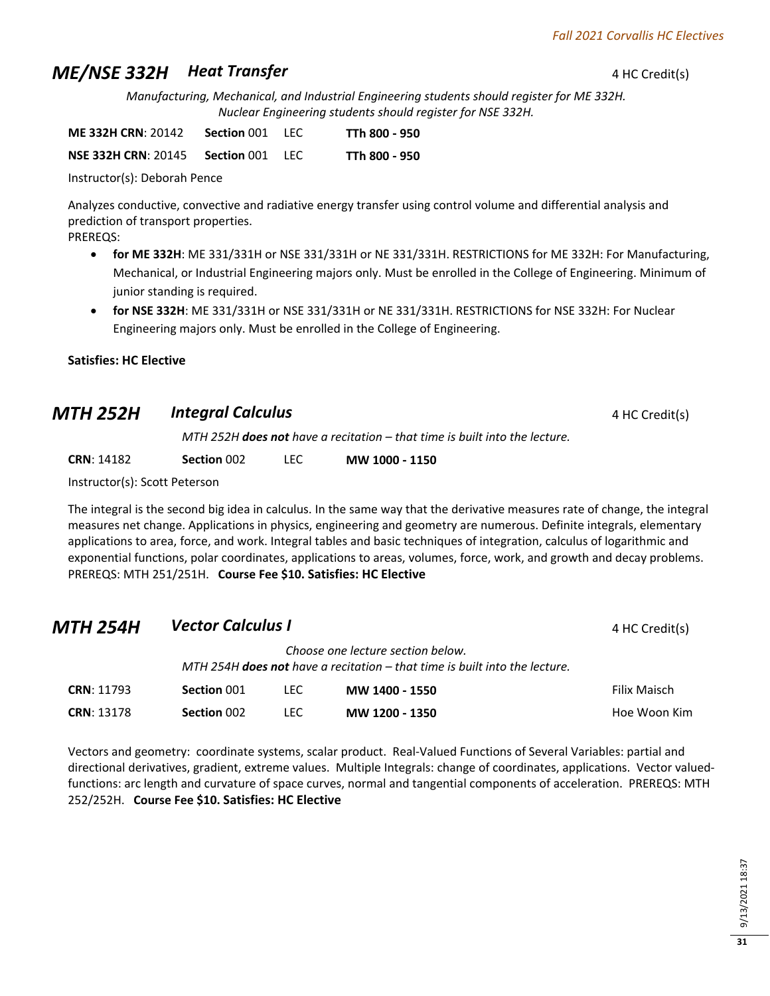## **ME/NSE 332H Beat Transfer 4 HC Credit(s)**

*Manufacturing, Mechanical, and Industrial Engineering students should register for ME 332H. Nuclear Engineering students should register for NSE 332H.*

| <b>ME 332H CRN: 20142</b>  | Section 001 | -LEC | TTh 800 - 950 |
|----------------------------|-------------|------|---------------|
| <b>NSE 332H CRN: 20145</b> | Section 001 | -LEC | TTh 800 - 950 |

Instructor(s): Deborah Pence

Analyzes conductive, convective and radiative energy transfer using control volume and differential analysis and prediction of transport properties.

PREREQS:

- **for ME 332H**: ME 331/331H or NSE 331/331H or NE 331/331H. RESTRICTIONS for ME 332H: For Manufacturing, Mechanical, or Industrial Engineering majors only. Must be enrolled in the College of Engineering. Minimum of junior standing is required.
- **for NSE 332H**: ME 331/331H or NSE 331/331H or NE 331/331H. RESTRICTIONS for NSE 332H: For Nuclear Engineering majors only. Must be enrolled in the College of Engineering.

### **Satisfies: HC Elective**

| <b>MTH 252H</b> | Integral Calculus | 4 HC Credit(s) |
|-----------------|-------------------|----------------|
|-----------------|-------------------|----------------|

*MTH 252H does not have a recitation – that time is built into the lecture.*

**CRN**: 14182 **Section** 002 LEC **MW 1000 - 1150**

Instructor(s): Scott Peterson

The integral is the second big idea in calculus. In the same way that the derivative measures rate of change, the integral measures net change. Applications in physics, engineering and geometry are numerous. Definite integrals, elementary applications to area, force, and work. Integral tables and basic techniques of integration, calculus of logarithmic and exponential functions, polar coordinates, applications to areas, volumes, force, work, and growth and decay problems. PREREQS: MTH 251/251H. **Course Fee \$10. Satisfies: HC Elective**

| MTH 254H          | <b>Vector Calculus I</b> |      |                                                                                                                          | 4 HC Credit(s)      |
|-------------------|--------------------------|------|--------------------------------------------------------------------------------------------------------------------------|---------------------|
|                   |                          |      | Choose one lecture section below.<br>MTH 254H <b>does not</b> have a recitation $-$ that time is built into the lecture. |                     |
| <b>CRN: 11793</b> | Section 001              | TEC. | MW 1400 - 1550                                                                                                           | <b>Filix Maisch</b> |
| <b>CRN: 13178</b> | Section 002              | TEC. | MW 1200 - 1350                                                                                                           | Hoe Woon Kim        |

Vectors and geometry: coordinate systems, scalar product. Real-Valued Functions of Several Variables: partial and directional derivatives, gradient, extreme values. Multiple Integrals: change of coordinates, applications. Vector valuedfunctions: arc length and curvature of space curves, normal and tangential components of acceleration. PREREQS: MTH 252/252H. **Course Fee \$10. Satisfies: HC Elective**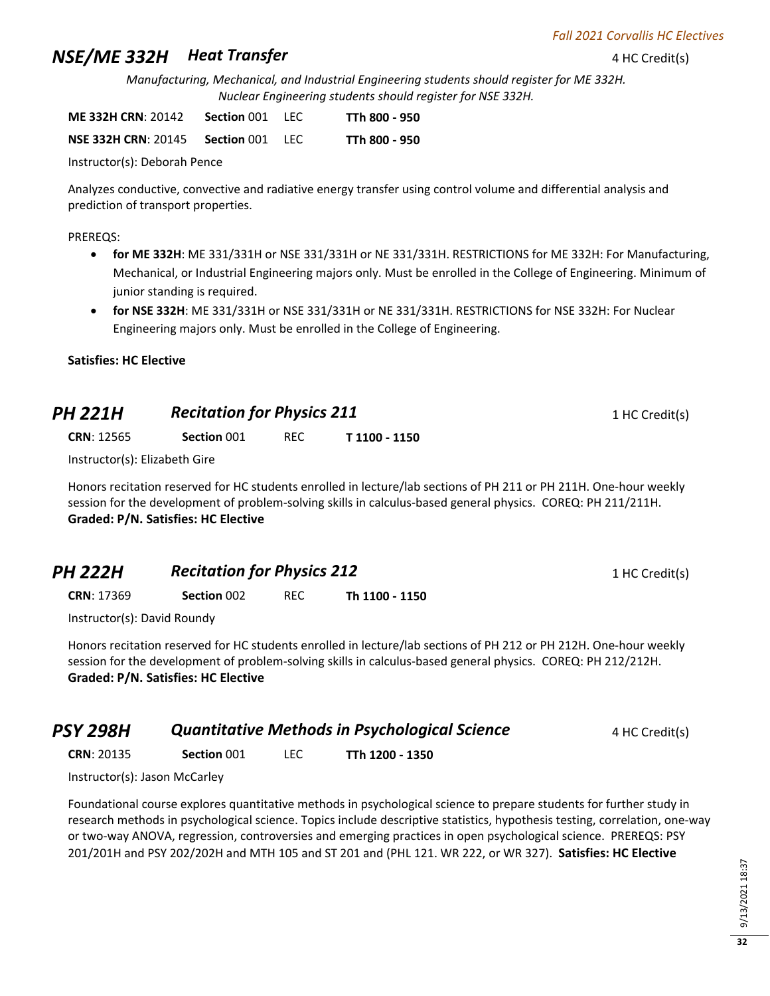# **NSE/ME 332H**  Heat Transfer **4 HC Credit(s)** 4 HC Credit(s)

*Manufacturing, Mechanical, and Industrial Engineering students should register for ME 332H. Nuclear Engineering students should register for NSE 332H.*

| <b>ME 332H CRN: 20142</b> | <b>Section 001 LEC</b> | TTh 800 - 950 |
|---------------------------|------------------------|---------------|
|                           |                        |               |

| NSE 332H CRN: 20145 | <b>Section 001 LEC</b> |  | TTh 800 - 950 |
|---------------------|------------------------|--|---------------|
|---------------------|------------------------|--|---------------|

Instructor(s): Deborah Pence

Analyzes conductive, convective and radiative energy transfer using control volume and differential analysis and prediction of transport properties.

### PREREQS:

- **for ME 332H**: ME 331/331H or NSE 331/331H or NE 331/331H. RESTRICTIONS for ME 332H: For Manufacturing, Mechanical, or Industrial Engineering majors only. Must be enrolled in the College of Engineering. Minimum of junior standing is required.
- **for NSE 332H**: ME 331/331H or NSE 331/331H or NE 331/331H. RESTRICTIONS for NSE 332H: For Nuclear Engineering majors only. Must be enrolled in the College of Engineering.

### **Satisfies: HC Elective**

| <b>PH 221H</b>    | <b>Recitation for Physics 211</b> |     | 1 HC Credit(s) |  |
|-------------------|-----------------------------------|-----|----------------|--|
| <b>CRN: 12565</b> | Section 001                       | REC | T 1100 - 1150  |  |

Instructor(s): Elizabeth Gire

Honors recitation reserved for HC students enrolled in lecture/lab sections of PH 211 or PH 211H. One-hour weekly session for the development of problem-solving skills in calculus-based general physics. COREQ: PH 211/211H. **Graded: P/N. Satisfies: HC Elective**

| <b>PH 222H</b> | <b>Recitation for Physics 212</b> | 1 HC Credit(s) |
|----------------|-----------------------------------|----------------|
|                |                                   |                |

**CRN**: 17369 **Section** 002 REC **Th 1100 - 1150**

Instructor(s): David Roundy

Honors recitation reserved for HC students enrolled in lecture/lab sections of PH 212 or PH 212H. One-hour weekly session for the development of problem-solving skills in calculus-based general physics. COREQ: PH 212/212H. **Graded: P/N. Satisfies: HC Elective**

| 4 HC Credit(s) |
|----------------|
|                |

**CRN**: 20135 **Section** 001 LEC **TTh 1200 - 1350**

Instructor(s): Jason McCarley

Foundational course explores quantitative methods in psychological science to prepare students for further study in research methods in psychological science. Topics include descriptive statistics, hypothesis testing, correlation, one-way or two-way ANOVA, regression, controversies and emerging practices in open psychological science. PREREQS: PSY 201/201H and PSY 202/202H and MTH 105 and ST 201 and (PHL 121. WR 222, or WR 327). **Satisfies: HC Elective**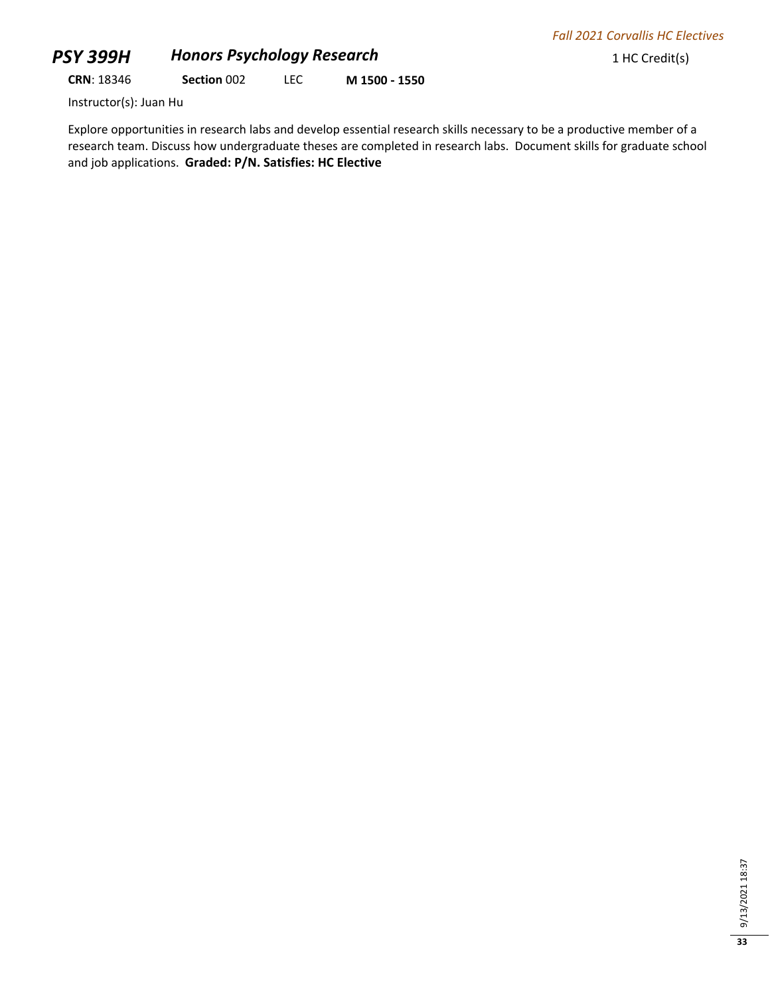## **PSY 399H Honors Psychology Research** 1 HC Credit(s)

**CRN**: 18346 **Section** 002 LEC **M 1500 - 1550**

Instructor(s): Juan Hu

Explore opportunities in research labs and develop essential research skills necessary to be a productive member of a research team. Discuss how undergraduate theses are completed in research labs. Document skills for graduate school and job applications. **Graded: P/N. Satisfies: HC Elective**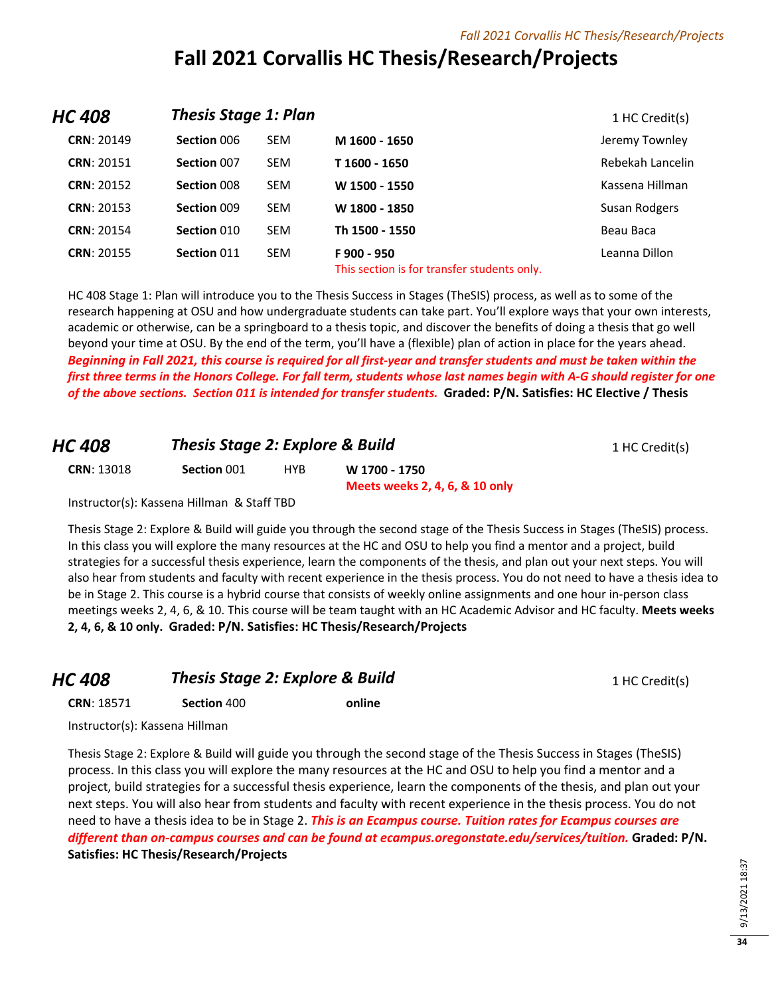# **Fall 2021 Corvallis HC Thesis/Research/Projects**

| <b>HC 408</b>     | <b>Thesis Stage 1: Plan</b> |            |                                                           | 1 HC Credit(s)   |
|-------------------|-----------------------------|------------|-----------------------------------------------------------|------------------|
| <b>CRN: 20149</b> | Section 006                 | <b>SEM</b> | M 1600 - 1650                                             | Jeremy Townley   |
| <b>CRN: 20151</b> | Section 007                 | <b>SEM</b> | T 1600 - 1650                                             | Rebekah Lancelin |
| <b>CRN: 20152</b> | Section 008                 | <b>SEM</b> | W 1500 - 1550                                             | Kassena Hillman  |
| <b>CRN: 20153</b> | Section 009                 | <b>SEM</b> | W 1800 - 1850                                             | Susan Rodgers    |
| <b>CRN: 20154</b> | Section 010                 | <b>SEM</b> | Th 1500 - 1550                                            | Beau Baca        |
| <b>CRN: 20155</b> | Section 011                 | <b>SEM</b> | F900 - 950<br>This section is for transfer students only. | Leanna Dillon    |

HC 408 Stage 1: Plan will introduce you to the Thesis Success in Stages (TheSIS) process, as well as to some of the research happening at OSU and how undergraduate students can take part. You'll explore ways that your own interests, academic or otherwise, can be a springboard to a thesis topic, and discover the benefits of doing a thesis that go well beyond your time at OSU. By the end of the term, you'll have a (flexible) plan of action in place for the years ahead. *Beginning in Fall 2021, this course is required for all first-year and transfer students and must be taken within the first three terms in the Honors College. For fall term, students whose last names begin with A-G should register for one of the above sections. Section 011 is intended for transfer students.* **Graded: P/N. Satisfies: HC Elective / Thesis**

| HC 408            | <b>Thesis Stage 2: Explore &amp; Build</b> |            | 1 HC Credit(s)                                  |  |
|-------------------|--------------------------------------------|------------|-------------------------------------------------|--|
| <b>CRN: 13018</b> | Section 001                                | <b>HYR</b> | W 1700 - 1750<br>Meets weeks 2, 4, 6, & 10 only |  |
|                   | Instructor(s): Kassena Hillman & Staff TBD |            |                                                 |  |

Thesis Stage 2: Explore & Build will guide you through the second stage of the Thesis Success in Stages (TheSIS) process. In this class you will explore the many resources at the HC and OSU to help you find a mentor and a project, build strategies for a successful thesis experience, learn the components of the thesis, and plan out your next steps. You will also hear from students and faculty with recent experience in the thesis process. You do not need to have a thesis idea to be in Stage 2. This course is a hybrid course that consists of weekly online assignments and one hour in-person class meetings weeks 2, 4, 6, & 10. This course will be team taught with an HC Academic Advisor and HC faculty. **Meets weeks 2, 4, 6, & 10 only. Graded: P/N. Satisfies: HC Thesis/Research/Projects**

### **HC 408 Thesis Stage 2: Explore & Build** 1 HC Credit(s)

**CRN**: 18571 **Section** 400 **online**

Instructor(s): Kassena Hillman

Thesis Stage 2: Explore & Build will guide you through the second stage of the Thesis Success in Stages (TheSIS) process. In this class you will explore the many resources at the HC and OSU to help you find a mentor and a project, build strategies for a successful thesis experience, learn the components of the thesis, and plan out your next steps. You will also hear from students and faculty with recent experience in the thesis process. You do not need to have a thesis idea to be in Stage 2. *This is an Ecampus course. Tuition rates for Ecampus courses are different than on-campus courses and can be found at ecampus.oregonstate.edu/services/tuition.* **Graded: P/N. Satisfies: HC Thesis/Research/Projects**